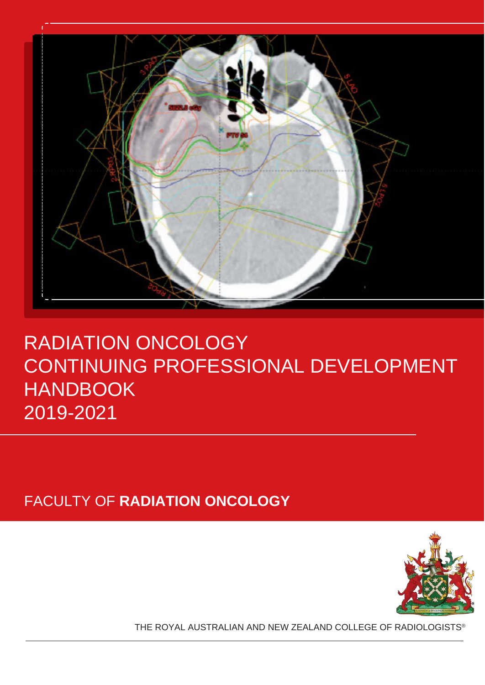

# RADIATION ONCOLOGY CONTINUING PROFESSIONAL DEVELOPMENT HANDBOOK 2019-2021

FACULTY OF **RADIATION ONCOLOGY**



THE ROYAL AUSTRALIAN AND NEW ZEALAND COLLEGE OF RADIOLOGISTS®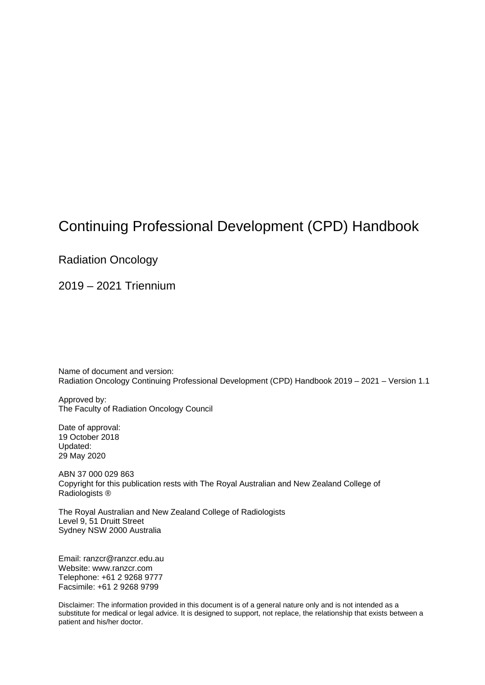## Continuing Professional Development (CPD) Handbook

Radiation Oncology

2019 – 2021 Triennium

Name of document and version: Radiation Oncology Continuing Professional Development (CPD) Handbook 2019 – 2021 – Version 1.1

Approved by: The Faculty of Radiation Oncology Council

Date of approval: 19 October 2018 Updated: 29 May 2020

ABN 37 000 029 863 Copyright for this publication rests with The Royal Australian and New Zealand College of Radiologists ®

The Royal Australian and New Zealand College of Radiologists Level 9, 51 Druitt Street Sydney NSW 2000 Australia

Email: [ranzcr@ranzcr.edu.au](https://www.ranzcr.com/search/ranzcr-cpd-compliance-policy) Website: [www.ranzcr.com](http://www.medicalboard.gov.au/) Telephone: +61 2 9268 9777 Facsimile: +61 2 9268 9799

Disclaimer: The information provided in this document is of a general nature only and is not intended as a substitute for medical or legal advice. It is designed to support, not replace, the relationship that exists between a patient and his/her doctor.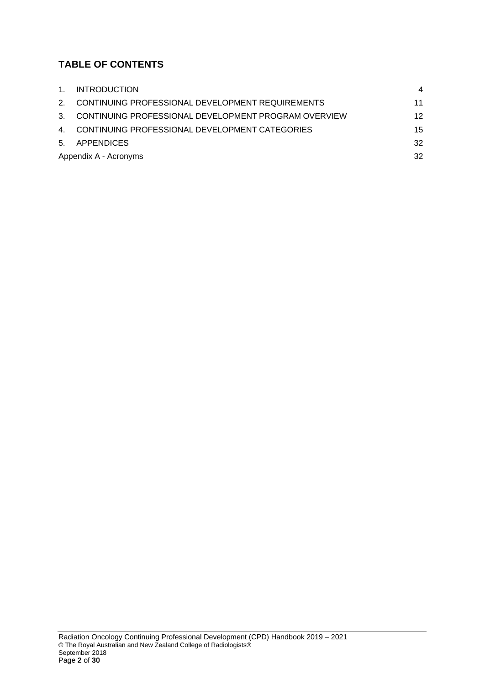## **TABLE OF CONTENTS**

| $1_{1}$        | <b>INTRODUCTION</b>                                  | $\overline{4}$    |
|----------------|------------------------------------------------------|-------------------|
| $\mathcal{P}$  | CONTINUING PROFESSIONAL DEVELOPMENT REQUIREMENTS     | 11                |
| $3_{-}$        | CONTINUING PROFESSIONAL DEVELOPMENT PROGRAM OVERVIEW | $12 \overline{ }$ |
| $\overline{4}$ | CONTINUING PROFESSIONAL DEVELOPMENT CATEGORIES       | 15                |
| 5.             | APPENDICES                                           | 32                |
|                | 32<br>Appendix A - Acronyms                          |                   |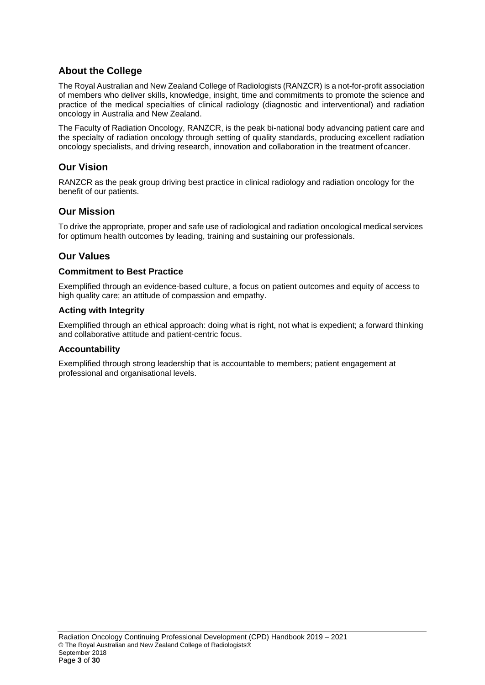## **About the College**

The Royal Australian and New Zealand College of Radiologists (RANZCR) is a not-for-profit association of members who deliver skills, knowledge, insight, time and commitments to promote the science and practice of the medical specialties of clinical radiology (diagnostic and interventional) and radiation oncology in Australia and New Zealand.

The Faculty of Radiation Oncology, RANZCR, is the peak bi-national body advancing patient care and the specialty of radiation oncology through setting of quality standards, producing excellent radiation oncology specialists, and driving research, innovation and collaboration in the treatment of cancer.

## **Our Vision**

RANZCR as the peak group driving best practice in clinical radiology and radiation oncology for the benefit of our patients.

## **Our Mission**

To drive the appropriate, proper and safe use of radiological and radiation oncological medical services for optimum health outcomes by leading, training and sustaining our professionals.

## **Our Values**

#### **Commitment to Best Practice**

Exemplified through an evidence-based culture, a focus on patient outcomes and equity of access to high quality care; an attitude of compassion and empathy.

#### **Acting with Integrity**

Exemplified through an ethical approach: doing what is right, not what is expedient; a forward thinking and collaborative attitude and patient-centric focus.

#### **Accountability**

Exemplified through strong leadership that is accountable to members; patient engagement at professional and organisational levels.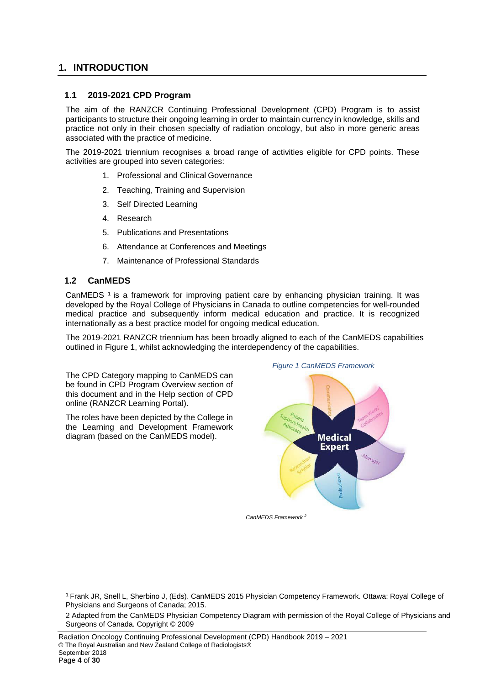## <span id="page-4-0"></span>**1. INTRODUCTION**

#### **1.1 2019-2021 CPD Program**

The aim of the RANZCR Continuing Professional Development (CPD) Program is to assist participants to structure their ongoing learning in order to maintain currency in knowledge, skills and practice not only in their chosen specialty of radiation oncology, but also in more generic areas associated with the practice of medicine.

The 2019-2021 triennium recognises a broad range of activities eligible for CPD points. These activities are grouped into seven categories:

- 1. Professional and Clinical Governance
- 2. Teaching, Training and Supervision
- 3. Self Directed Learning
- 4. Research
- 5. Publications and Presentations
- 6. Attendance at Conferences and Meetings
- 7. Maintenance of Professional Standards

#### **1.2 CanMEDS**

CanMEDS<sup>1</sup> is a framework for improving patient care by enhancing physician training. It was developed by the Royal College of Physicians in Canada to outline competencies for well-rounded medical practice and subsequently inform medical education and practice. It is recognized internationally as a best practice model for ongoing medical education.

The 2019-2021 RANZCR triennium has been broadly aligned to each of the CanMEDS capabilities outlined in Figure 1, whilst acknowledging the interdependency of the capabilities.

The CPD Category mapping to CanMEDS can be found in CPD Program Overview section of this document and in the Help section of CPD online (RANZCR Learning Portal).

The roles have been depicted by the College in the Learning and Development Framework diagram (based on the CanMEDS model).



*Figure 1 CanMEDS Framework*

*CanMEDS Framework 2*

<sup>1</sup> Frank JR, Snell L, Sherbino J, (Eds). CanMEDS 2015 Physician Competency Framework. Ottawa: Royal College of Physicians and Surgeons of Canada; 2015.

<sup>2</sup> Adapted from the CanMEDS Physician Competency Diagram with permission of the Royal College of Physicians and Surgeons of Canada. Copyright © 2009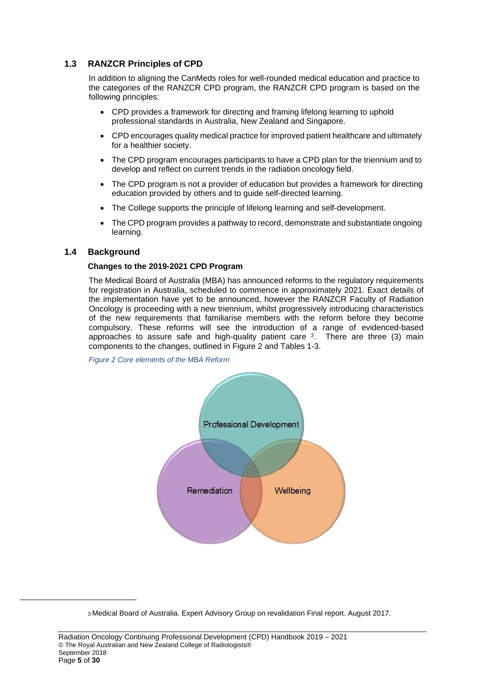## **1.3 RANZCR Principles of CPD**

In addition to aligning the CanMeds roles for well-rounded medical education and practice to the categories of the RANZCR CPD program, the RANZCR CPD program is based on the following principles:

- CPD provides a framework for directing and framing lifelong learning to uphold professional standards in Australia, New Zealand and Singapore.
- CPD encourages quality medical practice for improved patient healthcare and ultimately for a healthier society.
- The CPD program encourages participants to have a CPD plan for the triennium and to develop and reflect on current trends in the radiation oncology field.
- The CPD program is not a provider of education but provides a framework for directing education provided by others and to guide self-directed learning.
- The College supports the principle of lifelong learning and self-development.
- The CPD program provides a pathway to record, demonstrate and substantiate ongoing learning.

## **1.4 Background**

#### **Changes to the 2019-2021 CPD Program**

The Medical Board of Australia (MBA) has announced reforms to the regulatory requirements for registration in Australia, scheduled to commence in approximately 2021. Exact details of the implementation have yet to be announced, however the RANZCR Faculty of Radiation Oncology is proceeding with a new triennium, whilst progressively introducing characteristics of the new requirements that familiarise members with the reform before they become compulsory. These reforms will see the introduction of a range of evidenced-based approaches to assure safe and high-quality patient care  $3$ . There are three (3) main components to the changes, outlined in Figure 2 and Tables 1-3.

*Figure 2 Core elements of the MBA Reform*



<sup>3</sup> Medical Board of Australia. Expert Advisory Group on revalidation Final report. August 2017.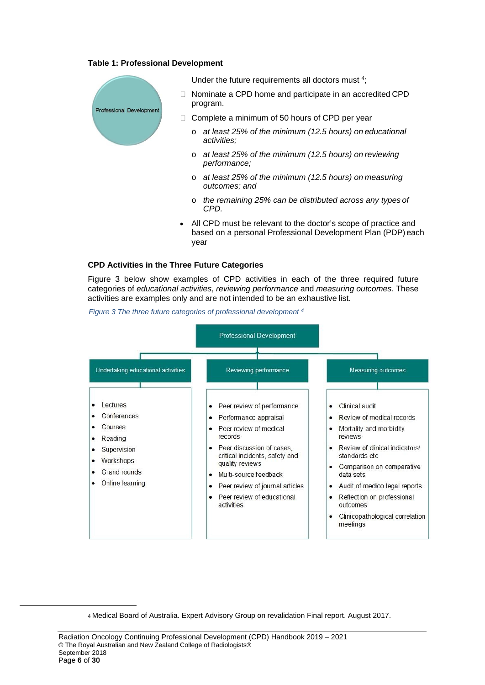#### **Table 1: Professional Development**



Under the future requirements all doctors must <sup>4</sup>;

- □ Nominate a CPD home and participate in an accredited CPD program.
- $\Box$  Complete a minimum of 50 hours of CPD per year
	- o *at least 25% of the minimum (12.5 hours) on educational activities;*
	- o *at least 25% of the minimum (12.5 hours) on reviewing performance;*
	- o *at least 25% of the minimum (12.5 hours) on measuring outcomes; and*
	- o *the remaining 25% can be distributed across any types of CPD.*
- All CPD must be relevant to the doctor's scope of practice and based on a personal Professional Development Plan (PDP) each year

#### **CPD Activities in the Three Future Categories**

Figure 3 below show examples of CPD activities in each of the three required future categories of *educational activities*, *reviewing performance* and *measuring outcomes*. These activities are examples only and are not intended to be an exhaustive list.



*Figure 3 The three future categories of professional development 4*

<sup>4</sup> Medical Board of Australia. Expert Advisory Group on revalidation Final report. August 2017.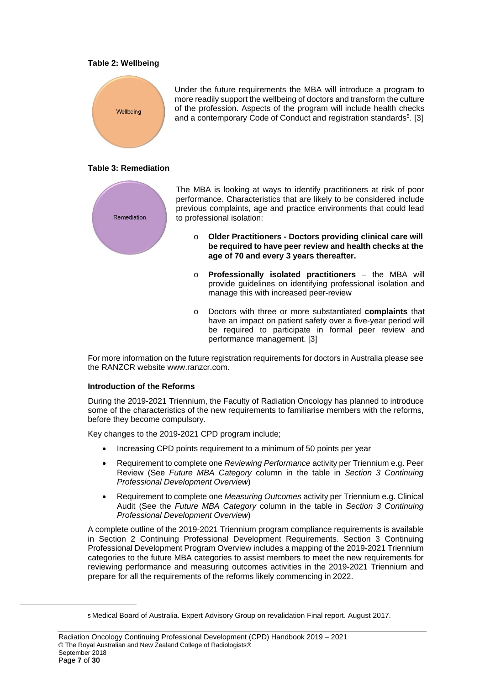#### **Table 2: Wellbeing**



Under the future requirements the MBA will introduce a program to more readily support the wellbeing of doctors and transform the culture of the profession. Aspects of the program will include health checks and a contemporary Code of Conduct and registration standards<sup>5</sup>. [3]

#### **Table 3: Remediation**



The MBA is looking at ways to identify practitioners at risk of poor performance. Characteristics that are likely to be considered include previous complaints, age and practice environments that could lead to professional isolation:

- **age of 70 and every 3 years thereafter.** o **Older Practitioners - Doctors providing clinical care will be required to have peer review and health checks at the**
- o **Professionally isolated practitioners**  the MBA will provide guidelines on identifying professional isolation and manage this with increased peer-review
- o Doctors with three or more substantiated **complaints** that have an impact on patient safety over a five-year period will be required to participate in formal peer review and performance management. [3]

For more information on the future registration requirements for doctors in Australia please see the RANZCR website [www.ranzcr.com.](http://www.mcnz.org.nz/)

#### **Introduction of the Reforms**

During the 2019-2021 Triennium, the Faculty of Radiation Oncology has planned to introduce some of the characteristics of the new requirements to familiarise members with the reforms, before they become compulsory.

Key changes to the 2019-2021 CPD program include;

- Increasing CPD points requirement to a minimum of 50 points per year
- Requirement to complete one *Reviewing Performance* activity per Triennium e.g. Peer Review (See *Future MBA Category* column in the table in *Section 3 Continuing Professional Development Overview*)
- Requirement to complete one *Measuring Outcomes* activity per Triennium e.g. Clinical Audit (See the *Future MBA Category* column in the table in *Section 3 Continuing Professional Development Overview*)

A complete outline of the 2019-2021 Triennium program compliance requirements is available in Section 2 Continuing Professional Development Requirements. Section 3 Continuing Professional Development Program Overview includes a mapping of the 2019-2021 Triennium categories to the future MBA categories to assist members to meet the new requirements for reviewing performance and measuring outcomes activities in the 2019-2021 Triennium and prepare for all the requirements of the reforms likely commencing in 2022.

<sup>5</sup> Medical Board of Australia. Expert Advisory Group on revalidation Final report. August 2017.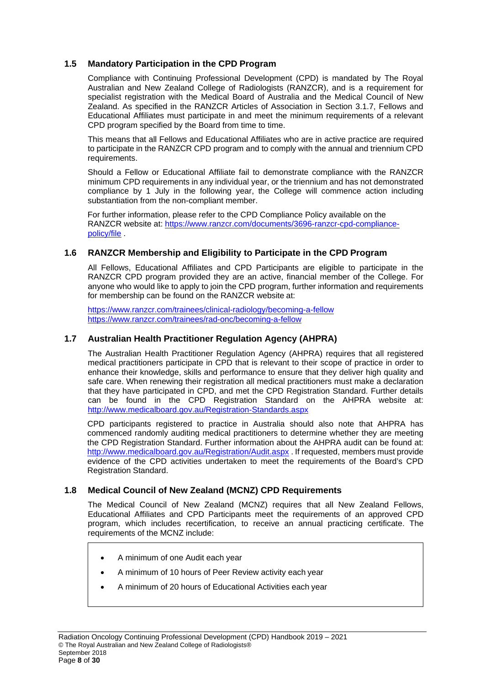## **1.5 Mandatory Participation in the CPD Program**

Compliance with Continuing Professional Development (CPD) is mandated by The Royal Australian and New Zealand College of Radiologists (RANZCR), and is a requirement for specialist registration with the Medical Board of Australia and the Medical Council of New Zealand. As specified in the RANZCR Articles of Association in Section 3.1.7, Fellows and Educational Affiliates must participate in and meet the minimum requirements of a relevant CPD program specified by the Board from time to time.

This means that all Fellows and Educational Affiliates who are in active practice are required to participate in the RANZCR CPD program and to comply with the annual and triennium CPD requirements.

Should a Fellow or Educational Affiliate fail to demonstrate compliance with the RANZCR minimum CPD requirements in any individual year, or the triennium and has not demonstrated compliance by 1 July in the following year, the College will commence action including substantiation from the non-compliant member.

For further information, please refer to the CPD Compliance Policy available on the RANZCR website at: [https://www.ranzcr.com/documents/3696-ranzcr-cpd-compliance](mailto:ranzcr@ranzcr.edu.au)[policy/file](http://www.mcnz.org.nz/) .

## **1.6 RANZCR Membership and Eligibility to Participate in the CPD Program**

All Fellows, Educational Affiliates and CPD Participants are eligible to participate in the RANZCR CPD program provided they are an active, financial member of the College. For anyone who would like to apply to join the CPD program, further information and requirements for membership can be found on the RANZCR website at:

[https://www.ranzcr.com/trainees/clinical-radiology/becoming-a-fellow](http://www.mcnz.org.nz/maintain-registration/recertification-and-professional-development/) [https://www.ranzcr.com/trainees/rad-onc/becoming-a-fellow](https://www.ranzcr.com/documents/1188-recency-of-practice-guidelines-radiation-oncology/file)

## **1.7 Australian Health Practitioner Regulation Agency (AHPRA)**

The Australian Health Practitioner Regulation Agency (AHPRA) requires that all registered medical practitioners participate in CPD that is relevant to their scope of practice in order to enhance their knowledge, skills and performance to ensure that they deliver high quality and safe care. When renewing their registration all medical practitioners must make a declaration that they have participated in CPD, and met the CPD Registration Standard. Further details can be found in the CPD Registration Standard on the AHPRA website at: <http://www.medicalboard.gov.au/Registration-Standards.aspx>

CPD participants registered to practice in Australia should also note that AHPRA has commenced randomly auditing medical practitioners to determine whether they are meeting the CPD Registration Standard. Further information about the AHPRA audit can be found at: [http://www.medicalboard.gov.au/Registration/Audit.aspx](https://www.ranzcr.com/documents/3696-ranzcr-cpd-compliance-policy/file) . If requested, members must provide evidence of the CPD activities undertaken to meet the requirements of the Board's CPD Registration Standard.

## **1.8 Medical Council of New Zealand (MCNZ) CPD Requirements**

The Medical Council of New Zealand (MCNZ) requires that all New Zealand Fellows, Educational Affiliates and CPD Participants meet the requirements of an approved CPD program, which includes recertification, to receive an annual practicing certificate. The requirements of the MCNZ include:

- A minimum of one Audit each year
- A minimum of 10 hours of Peer Review activity each year
- A minimum of 20 hours of Educational Activities each year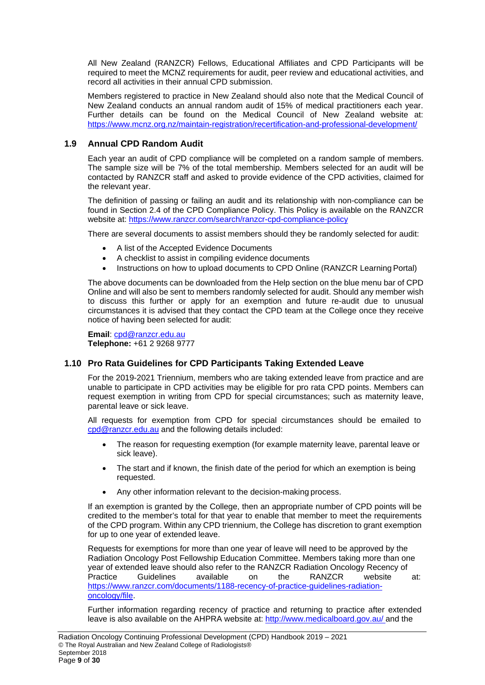All New Zealand (RANZCR) Fellows, Educational Affiliates and CPD Participants will be required to meet the MCNZ requirements for audit, peer review and educational activities, and record all activities in their annual CPD submission.

Members registered to practice in New Zealand should also note that the Medical Council of New Zealand conducts an annual random audit of 15% of medical practitioners each year. Further details can be found on the Medical Council of New Zealand website at: http[s://www.mcn](http://www.ranzcr.com/)[z.org.nz/maintain-registration/recertification-and-professional-development/](http://www.medicalboard.gov.au/Registration/Audit.aspx)

## **1.9 Annual CPD Random Audit**

Each year an audit of CPD compliance will be completed on a random sample of members. The sample size will be 7% of the total membership. Members selected for an audit will be contacted by RANZCR staff and asked to provide evidence of the CPD activities, claimed for the relevant year.

The definition of passing or failing an audit and its relationship with non-compliance can be found in Section 2.4 of the CPD Compliance Policy. This Policy is available on the RANZCR website at: [https://www.ranzcr.com/search/ranzcr-cpd-compliance-policy](http://www.ranzcr.com/)

There are several documents to assist members should they be randomly selected for audit:

- A list of the Accepted Evidence Documents
- A checklist to assist in compiling evidence documents
- Instructions on how to upload documents to CPD Online (RANZCR Learning Portal)

The above documents can be downloaded from the Help section on the blue menu bar of CPD Online and will also be sent to members randomly selected for audit. Should any member wish to discuss this further or apply for an exemption and future re-audit due to unusual circumstances it is advised that they contact the CPD team at the College once they receive notice of having been selected for audit:

**Email**: [cpd@ranzcr.edu.au](https://www.ranzcr.com/trainees/clinical-radiology/becoming-a-fellow) **Telephone:** +61 2 9268 9777

## **1.10 Pro Rata Guidelines for CPD Participants Taking Extended Leave**

For the 2019-2021 Triennium, members who are taking extended leave from practice and are unable to participate in CPD activities may be eligible for pro rata CPD points. Members can request exemption in writing from CPD for special circumstances; such as maternity leave, parental leave or sick leave.

All requests for exemption from CPD for special circumstances should be emailed to [cpd@ranzcr.edu.au](https://www.ranzcr.com/trainees/rad-onc/becoming-a-fellow) and the following details included:

- The reason for requesting exemption (for example maternity leave, parental leave or sick leave).
- The start and if known, the finish date of the period for which an exemption is being requested.
- Any other information relevant to the decision-making process.

If an exemption is granted by the College, then an appropriate number of CPD points will be credited to the member's total for that year to enable that member to meet the requirements of the CPD program. Within any CPD triennium, the College has discretion to grant exemption for up to one year of extended leave.

Requests for exemptions for more than one year of leave will need to be approved by the Radiation Oncology Post Fellowship Education Committee. Members taking more than one year of extended leave should also refer to the RANZCR Radiation Oncology Recency of<br>Practice Guidelines available on the RANZCR website Practice Guidelines available on the RANZCR website at: [https://www.ranzcr.com/documents/1188-recency-of-practice-guidelines-radiation](https://www.ranzcr.com/documents/1188-recency-of-practice-guidelines-radiation-oncology/file)[oncology/file.](http://www.mcnz.org.nz/maintain-registration/recertification-and-professional-development/)

Further information regarding recency of practice and returning to practice after extended leave is also available on the AHPRA website at: [http://www.medicalboard.gov.au/ a](https://www.ranzcr.com/documents/3696-ranzcr-cpd-compliance-policy/file)nd the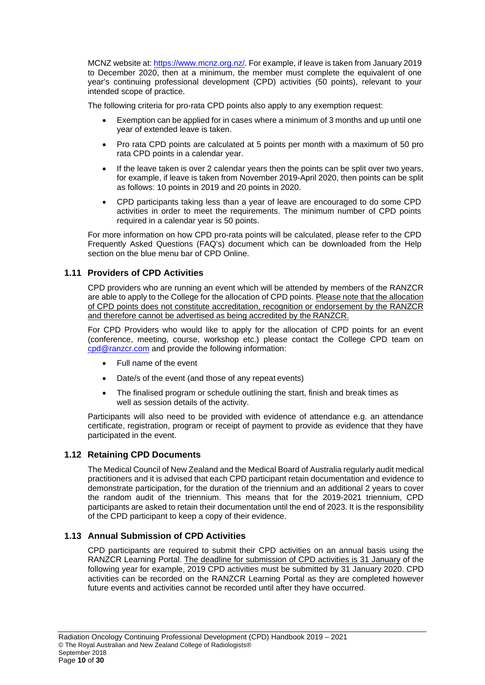MCNZ website at: http[s://www.mcnz.org.nz/.](mailto:cpd@ranzcr.edu.au) For example, if leave is taken from January 2019 to December 2020, then at a minimum, the member must complete the equivalent of one year's continuing professional development (CPD) activities (50 points), relevant to your intended scope of practice.

The following criteria for pro-rata CPD points also apply to any exemption request:

- Exemption can be applied for in cases where a minimum of 3 months and up until one year of extended leave is taken.
- Pro rata CPD points are calculated at 5 points per month with a maximum of 50 pro rata CPD points in a calendar year.
- If the leave taken is over 2 calendar years then the points can be split over two years, for example, if leave is taken from November 2019-April 2020, then points can be split as follows: 10 points in 2019 and 20 points in 2020.
- CPD participants taking less than a year of leave are encouraged to do some CPD activities in order to meet the requirements. The minimum number of CPD points required in a calendar year is 50 points.

For more information on how CPD pro-rata points will be calculated, please refer to the CPD Frequently Asked Questions (FAQ's) document which can be downloaded from the Help section on the blue menu bar of CPD Online.

## **1.11 Providers of CPD Activities**

CPD providers who are running an event which will be attended by members of the RANZCR are able to apply to the College for the allocation of CPD points. Please note that the allocation of CPD points does not constitute accreditation, recognition or endorsement by the RANZCR and therefore cannot be advertised as being accredited by the RANZCR.

For CPD Providers who would like to apply for the allocation of CPD points for an event (conference, meeting, course, workshop etc.) please contact the College CPD team on [cpd@ranzcr.com](mailto:cpd@ranzcr.com) and provide the following information:

- Full name of the event
- Date/s of the event (and those of any repeat events)
- The finalised program or schedule outlining the start, finish and break times as well as session details of the activity.

Participants will also need to be provided with evidence of attendance e.g. an attendance certificate, registration, program or receipt of payment to provide as evidence that they have participated in the event.

## **1.12 Retaining CPD Documents**

The Medical Council of New Zealand and the Medical Board of Australia regularly audit medical practitioners and it is advised that each CPD participant retain documentation and evidence to demonstrate participation, for the duration of the triennium and an additional 2 years to cover the random audit of the triennium. This means that for the 2019-2021 triennium, CPD participants are asked to retain their documentation until the end of 2023. It is the responsibility of the CPD participant to keep a copy of their evidence.

## **1.13 Annual Submission of CPD Activities**

CPD participants are required to submit their CPD activities on an annual basis using the RANZCR Learning Portal. The deadline for submission of CPD activities is 31 January of the following year for example, 2019 CPD activities must be submitted by 31 January 2020. CPD activities can be recorded on the RANZCR Learning Portal as they are completed however future events and activities cannot be recorded until after they have occurred.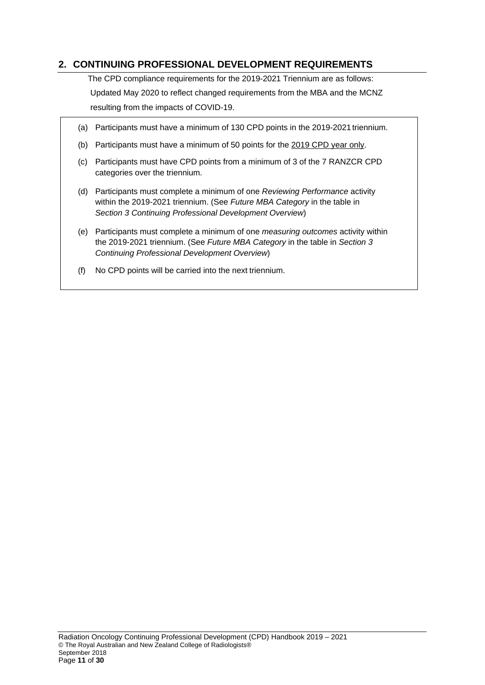## <span id="page-11-0"></span>**2. CONTINUING PROFESSIONAL DEVELOPMENT REQUIREMENTS**

The CPD compliance requirements for the 2019-2021 Triennium are as follows: Updated May 2020 to reflect changed requirements from the MBA and the MCNZ resulting from the impacts of COVID-19.

- (a) Participants must have a minimum of 130 CPD points in the 2019-2021 triennium.
- (b) Participants must have a minimum of 50 points for the 2019 CPD year only.
- (c) Participants must have CPD points from a minimum of 3 of the 7 RANZCR CPD categories over the triennium.
- (d) Participants must complete a minimum of one *Reviewing Performance* activity within the 2019-2021 triennium. (See *Future MBA Category* in the table in *Section 3 Continuing Professional Development Overview*)
- (e) Participants must complete a minimum of one *measuring outcomes* activity within the 2019-2021 triennium. (See *Future MBA Category* in the table in *Section 3 Continuing Professional Development Overview*)
- (f) No CPD points will be carried into the next triennium.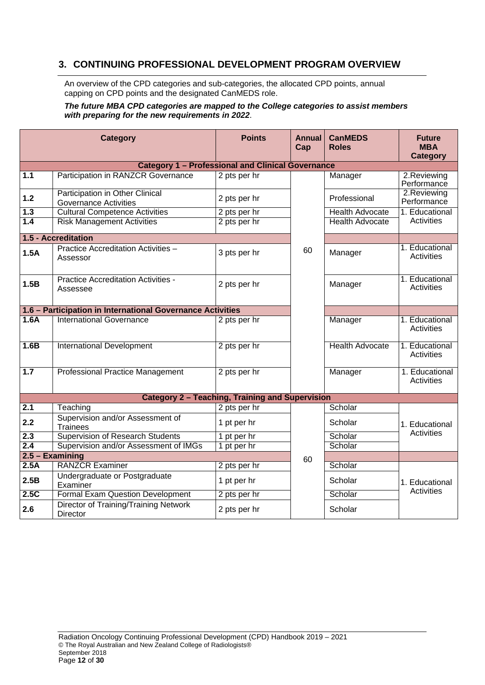## <span id="page-12-0"></span>**3. CONTINUING PROFESSIONAL DEVELOPMENT PROGRAM OVERVIEW**

An overview of the CPD categories and sub-categories, the allocated CPD points, annual capping on CPD points and the designated CanMEDS role.

#### *The future MBA CPD categories are mapped to the College categories to assist members with preparing for the new requirements in 2022*.

| <b>Category</b>   |                                                                 | <b>Points</b>                                            | <b>Annual</b><br>Cap | <b>CanMEDS</b><br><b>Roles</b> | <b>Future</b><br><b>MBA</b><br><b>Category</b> |
|-------------------|-----------------------------------------------------------------|----------------------------------------------------------|----------------------|--------------------------------|------------------------------------------------|
|                   |                                                                 | <b>Category 1 - Professional and Clinical Governance</b> |                      |                                |                                                |
| $\overline{1.1}$  | <b>Participation in RANZCR Governance</b>                       | 2 pts per hr                                             |                      | Manager                        | 2.Reviewing<br>Performance                     |
| $1.2$             | Participation in Other Clinical<br><b>Governance Activities</b> | 2 pts per hr                                             |                      | Professional                   | 2. Reviewing<br>Performance                    |
| 1.3               | <b>Cultural Competence Activities</b>                           | 2 pts per hr                                             |                      | <b>Health Advocate</b>         | 1. Educational                                 |
| 1.4               | <b>Risk Management Activities</b>                               | 2 pts per hr                                             |                      | <b>Health Advocate</b>         | Activities                                     |
|                   | 1.5 - Accreditation                                             |                                                          |                      |                                |                                                |
| 1.5A              | Practice Accreditation Activities -<br>Assessor                 | 3 pts per hr                                             | 60                   | Manager                        | 1. Educational<br>Activities                   |
| 1.5B              | Practice Accreditation Activities -<br>Assessee                 | 2 pts per hr                                             |                      | Manager                        | 1. Educational<br>Activities                   |
|                   | 1.6 - Participation in International Governance Activities      |                                                          |                      |                                |                                                |
| 1.6A              | <b>International Governance</b>                                 | 2 pts per hr                                             |                      | Manager                        | 1. Educational<br><b>Activities</b>            |
| 1.6B              | <b>International Development</b>                                | 2 pts per hr                                             |                      | <b>Health Advocate</b>         | 1. Educational<br><b>Activities</b>            |
| 1.7               | <b>Professional Practice Management</b>                         | 2 pts per hr                                             |                      | Manager                        | 1. Educational<br><b>Activities</b>            |
|                   |                                                                 | <b>Category 2 - Teaching, Training and Supervision</b>   |                      |                                |                                                |
| 2.1               | Teaching                                                        | 2 pts per hr                                             |                      | Scholar                        |                                                |
| 2.2               | Supervision and/or Assessment of<br><b>Trainees</b>             | 1 pt per hr                                              |                      | Scholar                        | 1. Educational                                 |
| 2.3               | <b>Supervision of Research Students</b>                         | 1 pt per hr                                              |                      | Scholar                        | Activities                                     |
| 2.4               | Supervision and/or Assessment of IMGs                           | 1 pt per hr                                              |                      | Scholar                        |                                                |
| $2.5 - Examining$ |                                                                 | 60                                                       |                      |                                |                                                |
| 2.5A              | <b>RANZCR Examiner</b>                                          | 2 pts per hr                                             |                      | Scholar                        |                                                |
| 2.5B              | Undergraduate or Postgraduate<br>Examiner                       | 1 pt per hr                                              |                      | Scholar                        | 1. Educational                                 |
| 2.5C              | <b>Formal Exam Question Development</b>                         | 2 pts per hr                                             |                      | Scholar                        | Activities                                     |
| 2.6               | Director of Training/Training Network<br><b>Director</b>        | 2 pts per hr                                             |                      | Scholar                        |                                                |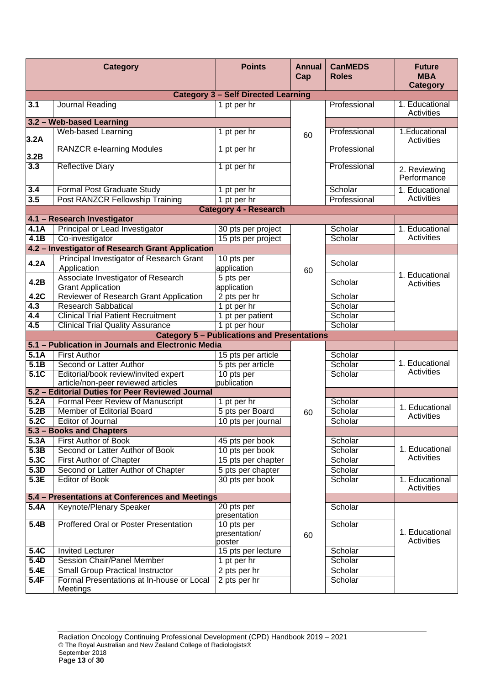| <b>Category</b>                                    |                                                                            | <b>Points</b>                         | <b>Annual</b><br>Cap | <b>CanMEDS</b><br><b>Roles</b> | <b>Future</b><br><b>MBA</b><br><b>Category</b> |
|----------------------------------------------------|----------------------------------------------------------------------------|---------------------------------------|----------------------|--------------------------------|------------------------------------------------|
| <b>Category 3 - Self Directed Learning</b>         |                                                                            |                                       |                      |                                |                                                |
| 3.1                                                | Journal Reading                                                            | 1 pt per hr                           |                      | Professional                   | 1. Educational<br>Activities                   |
| 3.2 - Web-based Learning                           |                                                                            |                                       |                      |                                |                                                |
| 3.2A                                               | Web-based Learning                                                         | 1 pt per hr                           | 60                   | Professional                   | 1. Educational<br>Activities                   |
| 3.2B                                               | <b>RANZCR e-learning Modules</b>                                           | 1 pt per hr                           |                      | Professional                   |                                                |
| 3.3                                                | <b>Reflective Diary</b>                                                    | 1 pt per hr                           |                      | Professional                   | 2. Reviewing<br>Performance                    |
| 3.4                                                | <b>Formal Post Graduate Study</b>                                          | 1 pt per hr                           |                      | Scholar                        | 1. Educational                                 |
| 3.5                                                | Post RANZCR Fellowship Training                                            | 1 pt per hr                           |                      | Professional                   | Activities                                     |
|                                                    |                                                                            | <b>Category 4 - Research</b>          |                      |                                |                                                |
|                                                    | 4.1 - Research Investigator                                                |                                       |                      |                                |                                                |
| 4.1A                                               | Principal or Lead Investigator                                             | 30 pts per project                    |                      | Scholar                        | 1. Educational                                 |
| 4.1B                                               | Co-investigator                                                            | 15 pts per project                    |                      | Scholar                        | Activities                                     |
|                                                    | 4.2 - Investigator of Research Grant Application                           |                                       |                      |                                |                                                |
| 4.2A                                               | Principal Investigator of Research Grant<br>Application                    | 10 pts per<br>application             | 60                   | Scholar                        | 1. Educational                                 |
| 4.2B                                               | Associate Investigator of Research<br><b>Grant Application</b>             | 5 pts per<br>application              |                      | Scholar                        | Activities                                     |
| 4.2C                                               | Reviewer of Research Grant Application                                     | 2 pts per hr                          |                      | Scholar                        |                                                |
| 4.3                                                | <b>Research Sabbatical</b>                                                 | 1 pt per hr                           |                      | Scholar                        |                                                |
| 4.4                                                | <b>Clinical Trial Patient Recruitment</b>                                  | 1 pt per patient                      |                      | Scholar                        |                                                |
| 4.5                                                | <b>Clinical Trial Quality Assurance</b>                                    | 1 pt per hour                         |                      | Scholar                        |                                                |
| <b>Category 5 - Publications and Presentations</b> |                                                                            |                                       |                      |                                |                                                |
|                                                    | 5.1 - Publication in Journals and Electronic Media                         |                                       |                      |                                |                                                |
| 5.1A                                               | <b>First Author</b>                                                        | 15 pts per article                    |                      | Scholar                        |                                                |
| 5.1B                                               | Second or Latter Author                                                    | 5 pts per article                     |                      | Scholar                        | 1. Educational                                 |
| 5.1C                                               | Editorial/book review/invited expert<br>article/non-peer reviewed articles | 10 pts per<br>publication             |                      | Scholar                        | Activities                                     |
|                                                    | 5.2 - Editorial Duties for Peer Reviewed Journal                           |                                       |                      |                                |                                                |
| 5.2A                                               | <b>Formal Peer Review of Manuscript</b>                                    | 1 pt per hr                           |                      | Scholar                        | 1. Educational                                 |
| 5.2B                                               | <b>Member of Editorial Board</b>                                           | 5 pts per Board                       | 60                   | Scholar                        | <b>Activities</b>                              |
| 5.2C                                               | Editor of Journal                                                          | 10 pts per journal                    |                      | Scholar                        |                                                |
|                                                    | 5.3 - Books and Chapters                                                   |                                       |                      |                                |                                                |
| 5.3A                                               | <b>First Author of Book</b>                                                | 45 pts per book                       |                      | Scholar                        |                                                |
| 5.3B                                               | Second or Latter Author of Book                                            | 10 pts per book                       |                      | Scholar                        | 1. Educational<br>Activities                   |
| 5.3C                                               | <b>First Author of Chapter</b>                                             | 15 pts per chapter                    |                      | Scholar                        |                                                |
| 5.3D                                               | Second or Latter Author of Chapter                                         | 5 pts per chapter                     |                      | Scholar                        |                                                |
| 5.3E                                               | <b>Editor of Book</b>                                                      | 30 pts per book                       |                      | Scholar                        | 1. Educational<br><b>Activities</b>            |
|                                                    | 5.4 - Presentations at Conferences and Meetings                            |                                       |                      |                                |                                                |
| 5.4A                                               | Keynote/Plenary Speaker                                                    | 20 pts per<br>presentation            |                      | Scholar                        |                                                |
| 5.4B                                               | <b>Proffered Oral or Poster Presentation</b>                               | 10 pts per<br>presentation/<br>poster | 60                   | Scholar                        | 1. Educational<br>Activities                   |
| 5.4C                                               | <b>Invited Lecturer</b>                                                    | 15 pts per lecture                    |                      | Scholar                        |                                                |
| 5.4D                                               | <b>Session Chair/Panel Member</b>                                          | 1 pt per hr                           |                      | Scholar                        |                                                |
| 5.4E                                               | <b>Small Group Practical Instructor</b>                                    | 2 pts per hr                          |                      | Scholar                        |                                                |
| 5.4F                                               | Formal Presentations at In-house or Local<br>Meetings                      | 2 pts per hr                          |                      | Scholar                        |                                                |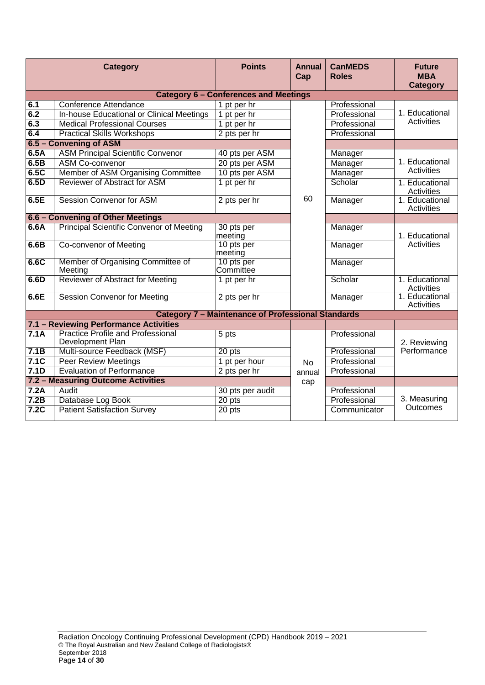| <b>Category</b>                    |                                                              | <b>Points</b>                                             | <b>Annual</b><br>Cap | <b>CanMEDS</b><br><b>Roles</b> | <b>Future</b><br><b>MBA</b><br><b>Category</b> |
|------------------------------------|--------------------------------------------------------------|-----------------------------------------------------------|----------------------|--------------------------------|------------------------------------------------|
|                                    |                                                              | <b>Category 6 - Conferences and Meetings</b>              |                      |                                |                                                |
| 6.1                                | <b>Conference Attendance</b>                                 | 1 pt per hr                                               |                      | Professional                   |                                                |
| 6.2                                | In-house Educational or Clinical Meetings                    | 1 pt per hr                                               |                      | Professional                   | 1. Educational                                 |
| 6.3                                | <b>Medical Professional Courses</b>                          | 1 pt per hr                                               |                      | Professional                   | Activities                                     |
| 6.4                                | <b>Practical Skills Workshops</b>                            | 2 pts per hr                                              |                      | Professional                   |                                                |
|                                    | 6.5 - Convening of ASM                                       |                                                           |                      |                                |                                                |
| 6.5A                               | <b>ASM Principal Scientific Convenor</b>                     | 40 pts per ASM                                            |                      | Manager                        |                                                |
| 6.5B                               | <b>ASM Co-convenor</b>                                       | 20 pts per ASM                                            |                      | Manager                        | 1. Educational                                 |
| 6.5C                               | Member of ASM Organising Committee                           | 10 pts per ASM                                            |                      | Manager                        | Activities                                     |
| 6.5D                               | Reviewer of Abstract for ASM                                 | 1 pt per hr                                               |                      | Scholar                        | 1. Educational<br>Activities                   |
| 6.5E                               | <b>Session Convenor for ASM</b>                              | 2 pts per hr                                              | 60                   | Manager                        | 1. Educational<br>Activities                   |
|                                    | 6.6 - Convening of Other Meetings                            |                                                           |                      |                                |                                                |
| 6.6A                               | <b>Principal Scientific Convenor of Meeting</b>              | 30 pts per<br>meeting                                     |                      | Manager                        | 1. Educational                                 |
| 6.6B                               | <b>Co-convenor of Meeting</b>                                | 10 pts per<br>meeting                                     |                      | Manager                        | Activities                                     |
| 6.6C                               | Member of Organising Committee of<br>Meeting                 | 10 pts per<br>Committee                                   |                      | Manager                        |                                                |
| 6.6D                               | Reviewer of Abstract for Meeting                             | 1 pt per hr                                               |                      | Scholar                        | 1. Educational<br>Activities                   |
| 6.6E                               | <b>Session Convenor for Meeting</b>                          | 2 pts per hr                                              |                      | Manager                        | 1. Educational<br>Activities                   |
|                                    |                                                              | <b>Category 7 - Maintenance of Professional Standards</b> |                      |                                |                                                |
|                                    | 7.1 - Reviewing Performance Activities                       |                                                           |                      |                                |                                                |
| 7.1A                               | <b>Practice Profile and Professional</b><br>Development Plan | 5 pts                                                     |                      | Professional                   | 2. Reviewing                                   |
| 7.1B                               | Multi-source Feedback (MSF)                                  | 20 pts                                                    |                      | Professional                   | Performance                                    |
| 7.1C                               | <b>Peer Review Meetings</b>                                  | 1 pt per hour                                             | <b>No</b>            | Professional                   |                                                |
| 7.1D                               | <b>Evaluation of Performance</b>                             | 2 pts per hr                                              | annual               | Professional                   |                                                |
| 7.2 - Measuring Outcome Activities |                                                              |                                                           | cap                  |                                |                                                |
| 7.2A                               | Audit                                                        | 30 pts per audit                                          |                      | Professional                   |                                                |
| 7.2B                               | Database Log Book                                            | 20 pts                                                    |                      | Professional                   | 3. Measuring                                   |
| 7.2C                               | <b>Patient Satisfaction Survey</b>                           | 20 pts                                                    |                      | Communicator                   | <b>Outcomes</b>                                |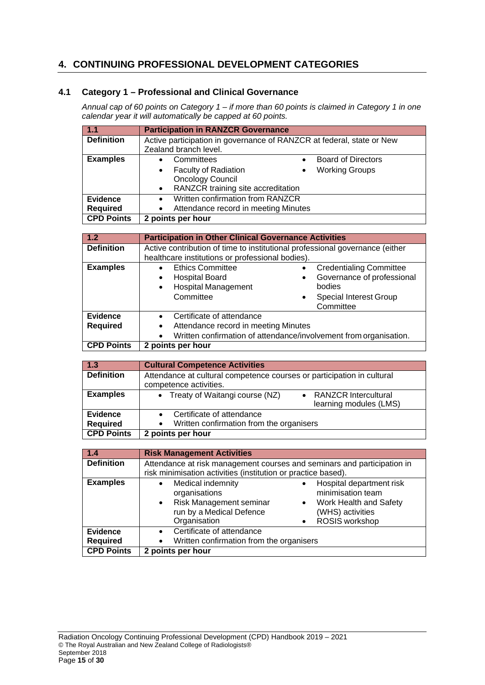## <span id="page-15-0"></span>**4. CONTINUING PROFESSIONAL DEVELOPMENT CATEGORIES**

## **4.1 Category 1 – Professional and Clinical Governance**

*Annual cap of 60 points on Category 1 – if more than 60 points is claimed in Category 1 in one calendar year it will automatically be capped at 60 points.*

| 1.1               | <b>Participation in RANZCR Governance</b>                              |  |
|-------------------|------------------------------------------------------------------------|--|
| <b>Definition</b> | Active participation in governance of RANZCR at federal, state or New  |  |
|                   | Zealand branch level.                                                  |  |
| <b>Examples</b>   | Committees<br><b>Board of Directors</b>                                |  |
|                   | <b>Faculty of Radiation</b><br><b>Working Groups</b><br>$\bullet$<br>٠ |  |
|                   | <b>Oncology Council</b>                                                |  |
|                   | RANZCR training site accreditation<br>$\bullet$                        |  |
| <b>Evidence</b>   | Written confirmation from RANZCR<br>$\bullet$                          |  |
| <b>Required</b>   | Attendance record in meeting Minutes                                   |  |
| <b>CPD Points</b> | 2 points per hour                                                      |  |

| 1.2                                | <b>Participation in Other Clinical Governance Activities</b>                                                                                             |                                                                                                                                        |  |
|------------------------------------|----------------------------------------------------------------------------------------------------------------------------------------------------------|----------------------------------------------------------------------------------------------------------------------------------------|--|
| <b>Definition</b>                  | Active contribution of time to institutional professional governance (either<br>healthcare institutions or professional bodies).                         |                                                                                                                                        |  |
| <b>Examples</b>                    | <b>Ethics Committee</b><br><b>Hospital Board</b><br>$\bullet$<br><b>Hospital Management</b><br>$\bullet$<br>Committee                                    | <b>Credentialing Committee</b><br>Governance of professional<br>٠<br>bodies<br><b>Special Interest Group</b><br>$\bullet$<br>Committee |  |
| <b>Evidence</b><br><b>Required</b> | Certificate of attendance<br>$\bullet$<br>Attendance record in meeting Minutes<br>٠<br>Written confirmation of attendance/involvement from organisation. |                                                                                                                                        |  |
| <b>CPD Points</b>                  | 2 points per hour                                                                                                                                        |                                                                                                                                        |  |

| $\sqrt{1.3}$      | <b>Cultural Competence Activities</b>                                                            |  |  |
|-------------------|--------------------------------------------------------------------------------------------------|--|--|
| <b>Definition</b> | Attendance at cultural competence courses or participation in cultural<br>competence activities. |  |  |
| <b>Examples</b>   | • Treaty of Waitangi course (NZ)<br><b>RANZCR Intercultural</b><br>learning modules (LMS)        |  |  |
| <b>Evidence</b>   | Certificate of attendance                                                                        |  |  |
| <b>Required</b>   | Written confirmation from the organisers                                                         |  |  |
| <b>CPD Points</b> | 2 points per hour                                                                                |  |  |

| 1.4               | <b>Risk Management Activities</b>                                                                                                                                                                                                                      |  |  |
|-------------------|--------------------------------------------------------------------------------------------------------------------------------------------------------------------------------------------------------------------------------------------------------|--|--|
| <b>Definition</b> | Attendance at risk management courses and seminars and participation in<br>risk minimisation activities (institution or practice based).                                                                                                               |  |  |
| <b>Examples</b>   | Medical indemnity<br>Hospital department risk<br>$\bullet$<br>minimisation team<br>organisations<br>• Risk Management seminar<br>Work Health and Safety<br>$\bullet$<br>run by a Medical Defence<br>(WHS) activities<br>Organisation<br>ROSIS workshop |  |  |
| <b>Evidence</b>   | Certificate of attendance<br>$\bullet$                                                                                                                                                                                                                 |  |  |
| <b>Required</b>   | Written confirmation from the organisers<br>$\bullet$                                                                                                                                                                                                  |  |  |
| <b>CPD Points</b> | 2 points per hour                                                                                                                                                                                                                                      |  |  |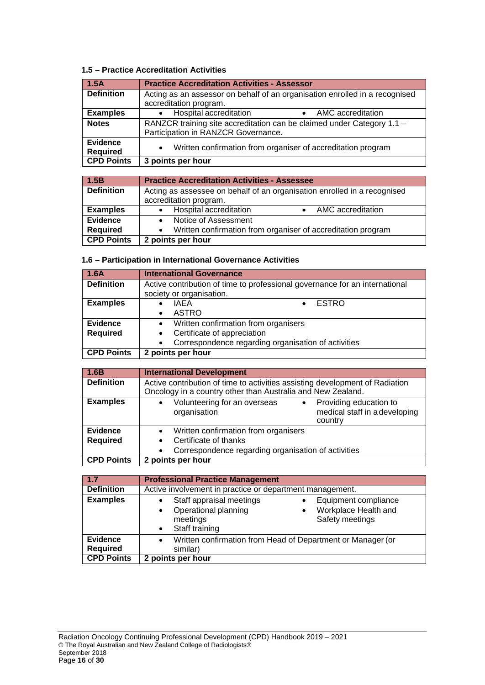## **1.5 – Practice Accreditation Activities**

| 1.5A                               | <b>Practice Accreditation Activities - Assessor</b>                                                           |  |  |
|------------------------------------|---------------------------------------------------------------------------------------------------------------|--|--|
| <b>Definition</b>                  | Acting as an assessor on behalf of an organisation enrolled in a recognised                                   |  |  |
|                                    | accreditation program.                                                                                        |  |  |
| <b>Examples</b>                    | • Hospital accreditation<br>AMC accreditation<br>$\bullet$                                                    |  |  |
| <b>Notes</b>                       | RANZCR training site accreditation can be claimed under Category 1.1 -<br>Participation in RANZCR Governance. |  |  |
| <b>Evidence</b><br><b>Required</b> | Written confirmation from organiser of accreditation program<br>$\bullet$                                     |  |  |
| <b>CPD Points</b>                  | 3 points per hour                                                                                             |  |  |

| 1.5B              | <b>Practice Accreditation Activities - Assessee</b>                      |  |  |
|-------------------|--------------------------------------------------------------------------|--|--|
| <b>Definition</b> | Acting as assessee on behalf of an organisation enrolled in a recognised |  |  |
|                   | accreditation program.                                                   |  |  |
| <b>Examples</b>   | • Hospital accreditation<br>AMC accreditation                            |  |  |
| <b>Evidence</b>   | Notice of Assessment                                                     |  |  |
| <b>Required</b>   | • Written confirmation from organiser of accreditation program           |  |  |
| <b>CPD Points</b> | 2 points per hour                                                        |  |  |

## **1.6 – Participation in International Governance Activities**

| 1.6A              | <b>International Governance</b>                                             |  |  |
|-------------------|-----------------------------------------------------------------------------|--|--|
| <b>Definition</b> | Active contribution of time to professional governance for an international |  |  |
|                   | society or organisation.                                                    |  |  |
| <b>Examples</b>   | <b>ESTRO</b><br><b>IAFA</b>                                                 |  |  |
|                   | ASTRO                                                                       |  |  |
| <b>Evidence</b>   | Written confirmation from organisers<br>$\bullet$                           |  |  |
| <b>Required</b>   | Certificate of appreciation                                                 |  |  |
|                   | Correspondence regarding organisation of activities<br>$\bullet$            |  |  |
| <b>CPD Points</b> | 2 points per hour                                                           |  |  |

| 1.6B              | <b>International Development</b>                                                                                                            |  |  |
|-------------------|---------------------------------------------------------------------------------------------------------------------------------------------|--|--|
| <b>Definition</b> | Active contribution of time to activities assisting development of Radiation<br>Oncology in a country other than Australia and New Zealand. |  |  |
| <b>Examples</b>   | Volunteering for an overseas<br>Providing education to<br>$\bullet$<br>medical staff in a developing<br>organisation<br>country             |  |  |
| <b>Evidence</b>   | Written confirmation from organisers<br>$\bullet$                                                                                           |  |  |
| <b>Required</b>   | Certificate of thanks                                                                                                                       |  |  |
|                   | Correspondence regarding organisation of activities                                                                                         |  |  |
| <b>CPD Points</b> | 2 points per hour                                                                                                                           |  |  |

| $-1.7$                                                  | <b>Professional Practice Management</b>                                                                                                           |
|---------------------------------------------------------|---------------------------------------------------------------------------------------------------------------------------------------------------|
| <b>Definition</b>                                       | Active involvement in practice or department management.                                                                                          |
| <b>Examples</b>                                         | Staff appraisal meetings<br>Equipment compliance<br>Operational planning<br>Workplace Health and<br>Safety meetings<br>meetings<br>Staff training |
| <b>Evidence</b><br><b>Required</b><br><b>CPD Points</b> | Written confirmation from Head of Department or Manager (or<br>similar)<br>2 points per hour                                                      |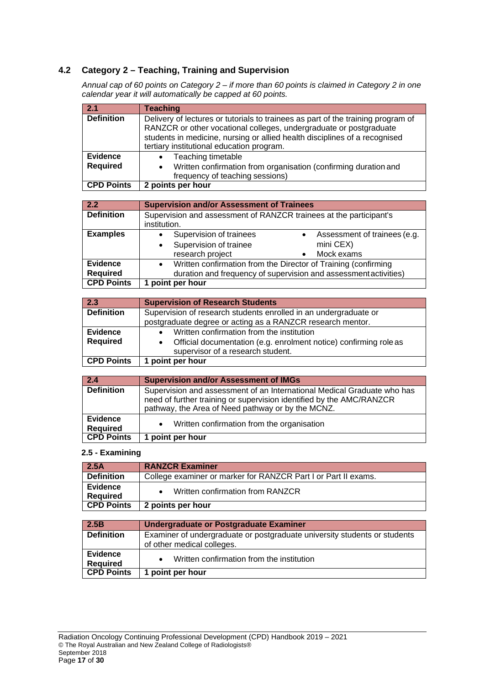## **4.2 Category 2 – Teaching, Training and Supervision**

*Annual cap of 60 points on Category 2 – if more than 60 points is claimed in Category 2 in one calendar year it will automatically be capped at 60 points.*

| 2.1               | <b>Teaching</b>                                                                                                                                                                                                                                                                   |
|-------------------|-----------------------------------------------------------------------------------------------------------------------------------------------------------------------------------------------------------------------------------------------------------------------------------|
| <b>Definition</b> | Delivery of lectures or tutorials to trainees as part of the training program of<br>RANZCR or other vocational colleges, undergraduate or postgraduate<br>students in medicine, nursing or allied health disciplines of a recognised<br>tertiary institutional education program. |
| <b>Evidence</b>   | Teaching timetable<br>$\bullet$                                                                                                                                                                                                                                                   |
| <b>Required</b>   | • Written confirmation from organisation (confirming duration and<br>frequency of teaching sessions)                                                                                                                                                                              |
| <b>CPD Points</b> | 2 points per hour                                                                                                                                                                                                                                                                 |

| 2.2                                | <b>Supervision and/or Assessment of Trainees</b>                                                                                              |
|------------------------------------|-----------------------------------------------------------------------------------------------------------------------------------------------|
| <b>Definition</b>                  | Supervision and assessment of RANZCR trainees at the participant's<br>institution.                                                            |
| <b>Examples</b>                    | Supervision of trainees<br>Assessment of trainees (e.g.<br>Supervision of trainee<br>mini CEX)<br>$\bullet$<br>research project<br>Mock exams |
| <b>Evidence</b><br><b>Required</b> | Written confirmation from the Director of Training (confirming<br>duration and frequency of supervision and assessment activities)            |
| <b>CPD Points</b>                  | 1 point per hour                                                                                                                              |

| $\vert 2.3 \vert$ | <b>Supervision of Research Students</b>                                                                |
|-------------------|--------------------------------------------------------------------------------------------------------|
| <b>Definition</b> | Supervision of research students enrolled in an undergraduate or                                       |
|                   | postgraduate degree or acting as a RANZCR research mentor.                                             |
| <b>Evidence</b>   | Written confirmation from the institution                                                              |
| <b>Required</b>   | Official documentation (e.g. enrolment notice) confirming role as<br>supervisor of a research student. |
| <b>CPD Points</b> | point per hour                                                                                         |

| $\sqrt{2.4}$                       | <b>Supervision and/or Assessment of IMGs</b>                                                                                                                                                         |
|------------------------------------|------------------------------------------------------------------------------------------------------------------------------------------------------------------------------------------------------|
| <b>Definition</b>                  | Supervision and assessment of an International Medical Graduate who has<br>need of further training or supervision identified by the AMC/RANZCR<br>pathway, the Area of Need pathway or by the MCNZ. |
| <b>Evidence</b><br><b>Required</b> | • Written confirmation from the organisation                                                                                                                                                         |
| <b>CPD Points</b>                  | 1 point per hour                                                                                                                                                                                     |

#### **2.5 - Examining**

| 2.5A                               | <b>RANZCR Examiner</b>                                         |
|------------------------------------|----------------------------------------------------------------|
| <b>Definition</b>                  | College examiner or marker for RANZCR Part I or Part II exams. |
| <b>Evidence</b><br><b>Required</b> | Written confirmation from RANZCR                               |
| <b>CPD Points</b>                  | 2 points per hour                                              |

| 2.5B                               | Undergraduate or Postgraduate Examiner                                    |
|------------------------------------|---------------------------------------------------------------------------|
| <b>Definition</b>                  | Examiner of undergraduate or postgraduate university students or students |
|                                    | of other medical colleges.                                                |
| <b>Evidence</b><br><b>Required</b> | Written confirmation from the institution                                 |
| <b>CPD Points</b>                  | <b>1 point per hour</b>                                                   |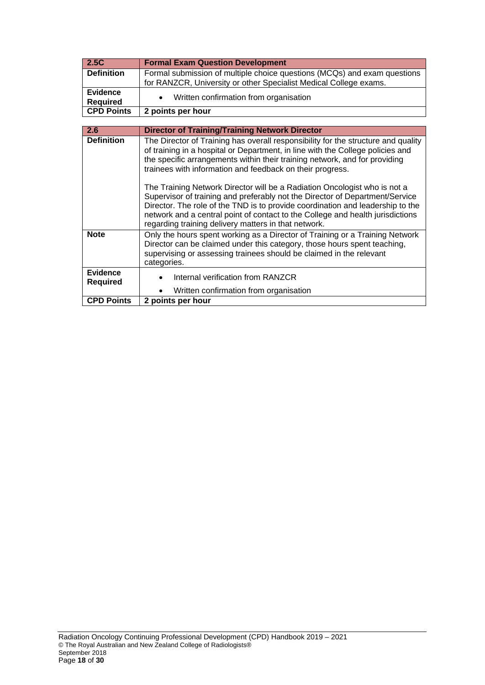| 2.5C                               | <b>Formal Exam Question Development</b>                                                                                                                                                                                                                                                                                                                                                                                                                                                                                                                                                                                                         |
|------------------------------------|-------------------------------------------------------------------------------------------------------------------------------------------------------------------------------------------------------------------------------------------------------------------------------------------------------------------------------------------------------------------------------------------------------------------------------------------------------------------------------------------------------------------------------------------------------------------------------------------------------------------------------------------------|
| <b>Definition</b>                  | Formal submission of multiple choice questions (MCQs) and exam questions                                                                                                                                                                                                                                                                                                                                                                                                                                                                                                                                                                        |
|                                    | for RANZCR, University or other Specialist Medical College exams.                                                                                                                                                                                                                                                                                                                                                                                                                                                                                                                                                                               |
| Evidence                           | Written confirmation from organisation                                                                                                                                                                                                                                                                                                                                                                                                                                                                                                                                                                                                          |
| <b>Required</b>                    |                                                                                                                                                                                                                                                                                                                                                                                                                                                                                                                                                                                                                                                 |
| <b>CPD Points</b>                  | 2 points per hour                                                                                                                                                                                                                                                                                                                                                                                                                                                                                                                                                                                                                               |
|                                    |                                                                                                                                                                                                                                                                                                                                                                                                                                                                                                                                                                                                                                                 |
| 2.6                                | <b>Director of Training/Training Network Director</b>                                                                                                                                                                                                                                                                                                                                                                                                                                                                                                                                                                                           |
| <b>Definition</b>                  | The Director of Training has overall responsibility for the structure and quality<br>of training in a hospital or Department, in line with the College policies and<br>the specific arrangements within their training network, and for providing<br>trainees with information and feedback on their progress.<br>The Training Network Director will be a Radiation Oncologist who is not a<br>Supervisor of training and preferably not the Director of Department/Service<br>Director. The role of the TND is to provide coordination and leadership to the<br>network and a central point of contact to the College and health jurisdictions |
| <b>Note</b>                        | regarding training delivery matters in that network.<br>Only the hours spent working as a Director of Training or a Training Network<br>Director can be claimed under this category, those hours spent teaching,<br>supervising or assessing trainees should be claimed in the relevant<br>categories.                                                                                                                                                                                                                                                                                                                                          |
| <b>Evidence</b><br><b>Required</b> | Internal verification from RANZCR                                                                                                                                                                                                                                                                                                                                                                                                                                                                                                                                                                                                               |
|                                    | Written confirmation from organisation                                                                                                                                                                                                                                                                                                                                                                                                                                                                                                                                                                                                          |
| <b>CPD Points</b>                  | 2 points per hour                                                                                                                                                                                                                                                                                                                                                                                                                                                                                                                                                                                                                               |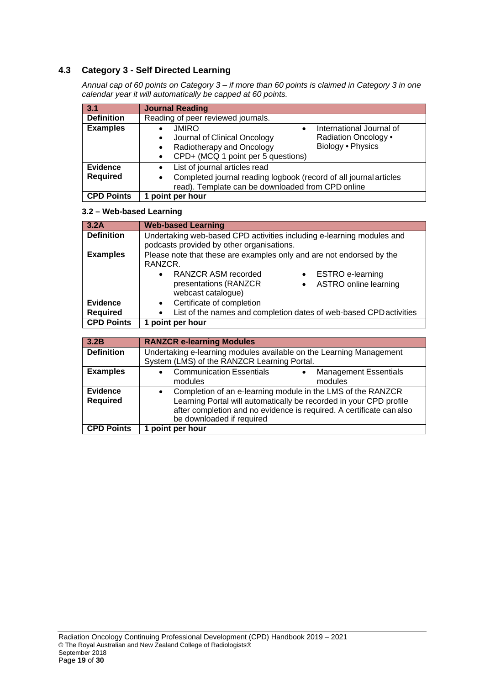## **4.3 Category 3 - Self Directed Learning**

*Annual cap of 60 points on Category 3 – if more than 60 points is claimed in Category 3 in one calendar year it will automatically be capped at 60 points.*

| 3.1                         | <b>Journal Reading</b>                                                                                                                                                                                     |
|-----------------------------|------------------------------------------------------------------------------------------------------------------------------------------------------------------------------------------------------------|
| <b>Definition</b>           | Reading of peer reviewed journals.                                                                                                                                                                         |
| <b>Examples</b>             | <b>JMIRO</b><br>International Journal of<br>Radiation Oncology •<br>Journal of Clinical Oncology<br>٠<br>Biology • Physics<br>Radiotherapy and Oncology<br>$\bullet$<br>CPD+ (MCQ 1 point per 5 questions) |
| Evidence<br><b>Required</b> | List of journal articles read<br>Completed journal reading logbook (record of all journal articles<br>٠<br>read). Template can be downloaded from CPD online                                               |
| <b>CPD Points</b>           | 1 point per hour                                                                                                                                                                                           |

#### **3.2 – Web-based Learning**

| 3.2A                               | <b>Web-based Learning</b>                                                                                                                                                                                                                  |
|------------------------------------|--------------------------------------------------------------------------------------------------------------------------------------------------------------------------------------------------------------------------------------------|
| <b>Definition</b>                  | Undertaking web-based CPD activities including e-learning modules and<br>podcasts provided by other organisations.                                                                                                                         |
| <b>Examples</b>                    | Please note that these are examples only and are not endorsed by the<br>RANZCR.<br><b>RANZCR ASM recorded</b><br><b>ESTRO</b> e-learning<br>$\bullet$<br>presentations (RANZCR<br>ASTRO online learning<br>$\bullet$<br>webcast catalogue) |
| <b>Evidence</b><br><b>Required</b> | Certificate of completion<br>$\bullet$<br>List of the names and completion dates of web-based CPD activities<br>$\bullet$                                                                                                                  |
| <b>CPD Points</b>                  | 1 point per hour                                                                                                                                                                                                                           |

| 3.2B                               | <b>RANZCR e-learning Modules</b>                                                                                                                                                                                                                    |
|------------------------------------|-----------------------------------------------------------------------------------------------------------------------------------------------------------------------------------------------------------------------------------------------------|
| <b>Definition</b>                  | Undertaking e-learning modules available on the Learning Management<br>System (LMS) of the RANZCR Learning Portal.                                                                                                                                  |
| <b>Examples</b>                    | <b>Communication Essentials</b><br><b>Management Essentials</b><br>$\bullet$<br>modules<br>modules                                                                                                                                                  |
| <b>Evidence</b><br><b>Required</b> | Completion of an e-learning module in the LMS of the RANZCR<br>$\bullet$<br>Learning Portal will automatically be recorded in your CPD profile<br>after completion and no evidence is required. A certificate can also<br>be downloaded if required |
| <b>CPD Points</b>                  | 1 point per hour                                                                                                                                                                                                                                    |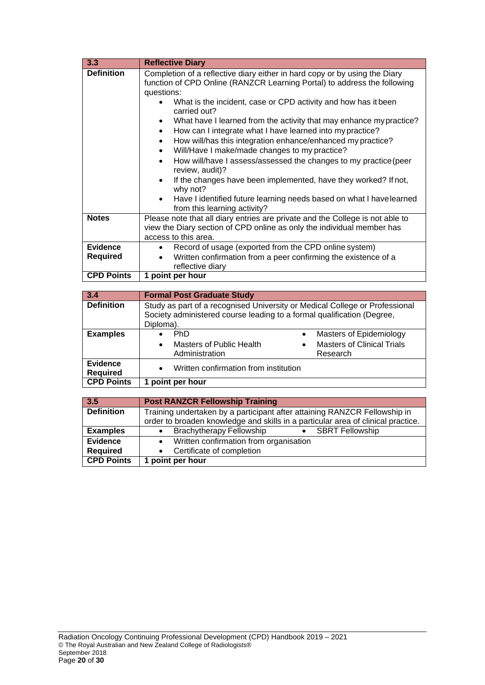| 3.3               | <b>Reflective Diary</b>                                                                                                                                                                                                                                                                                                                                                                                                                                                                                                                                                                                                                                                                                                                                                                                                         |
|-------------------|---------------------------------------------------------------------------------------------------------------------------------------------------------------------------------------------------------------------------------------------------------------------------------------------------------------------------------------------------------------------------------------------------------------------------------------------------------------------------------------------------------------------------------------------------------------------------------------------------------------------------------------------------------------------------------------------------------------------------------------------------------------------------------------------------------------------------------|
| <b>Definition</b> | Completion of a reflective diary either in hard copy or by using the Diary<br>function of CPD Online (RANZCR Learning Portal) to address the following<br>questions:<br>What is the incident, case or CPD activity and how has it been<br>carried out?<br>What have I learned from the activity that may enhance my practice?<br>$\bullet$<br>How can I integrate what I have learned into my practice?<br>How will/has this integration enhance/enhanced my practice?<br>Will/Have I make/made changes to my practice?<br>$\bullet$<br>How will/have I assess/assessed the changes to my practice (peer<br>review, audit)?<br>If the changes have been implemented, have they worked? If not,<br>$\bullet$<br>why not?<br>Have I identified future learning needs based on what I have learned<br>from this learning activity? |
| <b>Notes</b>      | Please note that all diary entries are private and the College is not able to<br>view the Diary section of CPD online as only the individual member has<br>access to this area.                                                                                                                                                                                                                                                                                                                                                                                                                                                                                                                                                                                                                                                 |
| <b>Evidence</b>   | Record of usage (exported from the CPD online system)<br>٠                                                                                                                                                                                                                                                                                                                                                                                                                                                                                                                                                                                                                                                                                                                                                                      |
| <b>Required</b>   | Written confirmation from a peer confirming the existence of a                                                                                                                                                                                                                                                                                                                                                                                                                                                                                                                                                                                                                                                                                                                                                                  |
|                   | reflective diary                                                                                                                                                                                                                                                                                                                                                                                                                                                                                                                                                                                                                                                                                                                                                                                                                |
| <b>CPD Points</b> | 1 point per hour                                                                                                                                                                                                                                                                                                                                                                                                                                                                                                                                                                                                                                                                                                                                                                                                                |

| 3.4                                | <b>Formal Post Graduate Study</b>                                                                                                                                  |                                                                                                    |
|------------------------------------|--------------------------------------------------------------------------------------------------------------------------------------------------------------------|----------------------------------------------------------------------------------------------------|
| <b>Definition</b>                  | Study as part of a recognised University or Medical College or Professional<br>Society administered course leading to a formal qualification (Degree,<br>Diploma). |                                                                                                    |
| <b>Examples</b>                    | <b>PhD</b><br><b>Masters of Public Health</b><br>$\bullet$<br>Administration                                                                                       | Masters of Epidemiology<br>$\bullet$<br><b>Masters of Clinical Trials</b><br>$\bullet$<br>Research |
| <b>Evidence</b><br><b>Required</b> | Written confirmation from institution<br>$\bullet$                                                                                                                 |                                                                                                    |
| <b>CPD Points</b>                  | point per hour                                                                                                                                                     |                                                                                                    |

| 3.5               | <b>Post RANZCR Fellowship Training</b>                                           |  |
|-------------------|----------------------------------------------------------------------------------|--|
| <b>Definition</b> | Training undertaken by a participant after attaining RANZCR Fellowship in        |  |
|                   | order to broaden knowledge and skills in a particular area of clinical practice. |  |
| <b>Examples</b>   | <b>Brachytherapy Fellowship</b><br>• SBRT Fellowship                             |  |
| <b>Evidence</b>   | • Written confirmation from organisation                                         |  |
| <b>Required</b>   | Certificate of completion                                                        |  |
| <b>CPD Points</b> | 1 point per hour                                                                 |  |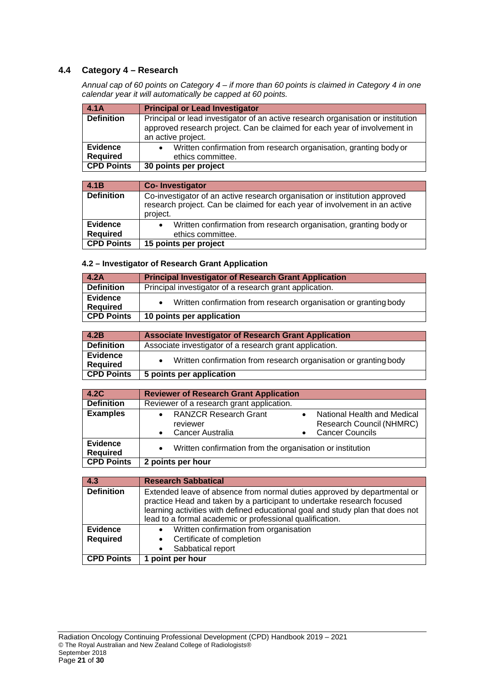## **4.4 Category 4 – Research**

*Annual cap of 60 points on Category 4 – if more than 60 points is claimed in Category 4 in one calendar year it will automatically be capped at 60 points.*

| 4.1A                               | <b>Principal or Lead Investigator</b>                                                                                                                                               |
|------------------------------------|-------------------------------------------------------------------------------------------------------------------------------------------------------------------------------------|
| <b>Definition</b>                  | Principal or lead investigator of an active research organisation or institution<br>approved research project. Can be claimed for each year of involvement in<br>an active project. |
| <b>Evidence</b><br><b>Required</b> | Written confirmation from research organisation, granting body or<br>ethics committee.                                                                                              |
|                                    |                                                                                                                                                                                     |
| <b>CPD Points</b>                  | 30 points per project                                                                                                                                                               |

| $-4.1B$           | <b>Co-Investigator</b>                                                                                                                                               |
|-------------------|----------------------------------------------------------------------------------------------------------------------------------------------------------------------|
| <b>Definition</b> | Co-investigator of an active research organisation or institution approved<br>research project. Can be claimed for each year of involvement in an active<br>project. |
| <b>Evidence</b>   | Written confirmation from research organisation, granting body or                                                                                                    |
| <b>Required</b>   | ethics committee.                                                                                                                                                    |
| <b>CPD Points</b> | 15 points per project                                                                                                                                                |

#### **4.2 – Investigator of Research Grant Application**

| 4.2A                        | <b>Principal Investigator of Research Grant Application</b>      |  |
|-----------------------------|------------------------------------------------------------------|--|
| <b>Definition</b>           | Principal investigator of a research grant application.          |  |
| <b>Evidence</b><br>Required | Written confirmation from research organisation or granting body |  |
| <b>CPD Points</b>           | 10 points per application                                        |  |

| 4.2B                        | <b>Associate Investigator of Research Grant Application</b>      |  |
|-----------------------------|------------------------------------------------------------------|--|
| <b>Definition</b>           | Associate investigator of a research grant application.          |  |
| <b>Evidence</b><br>Required | Written confirmation from research organisation or granting body |  |
| <b>CPD Points</b>           | 5 points per application                                         |  |

| 4.2C                               | <b>Reviewer of Research Grant Application</b>                               |  |                                                                                   |
|------------------------------------|-----------------------------------------------------------------------------|--|-----------------------------------------------------------------------------------|
| <b>Definition</b>                  | Reviewer of a research grant application.                                   |  |                                                                                   |
| <b>Examples</b>                    | • RANZCR Research Grant<br>reviewer<br><b>Cancer Australia</b><br>$\bullet$ |  | National Health and Medical<br>Research Council (NHMRC)<br><b>Cancer Councils</b> |
| <b>Evidence</b><br><b>Required</b> | Written confirmation from the organisation or institution<br>$\bullet$      |  |                                                                                   |
| <b>CPD Points</b>                  | 2 points per hour                                                           |  |                                                                                   |

| 4.3               | <b>Research Sabbatical</b>                                                                                                                                                                                                                                                                       |
|-------------------|--------------------------------------------------------------------------------------------------------------------------------------------------------------------------------------------------------------------------------------------------------------------------------------------------|
| <b>Definition</b> | Extended leave of absence from normal duties approved by departmental or<br>practice Head and taken by a participant to undertake research focused<br>learning activities with defined educational goal and study plan that does not<br>lead to a formal academic or professional qualification. |
| <b>Evidence</b>   | • Written confirmation from organisation                                                                                                                                                                                                                                                         |
| <b>Required</b>   | • Certificate of completion                                                                                                                                                                                                                                                                      |
|                   | Sabbatical report                                                                                                                                                                                                                                                                                |
| <b>CPD Points</b> | point per hour                                                                                                                                                                                                                                                                                   |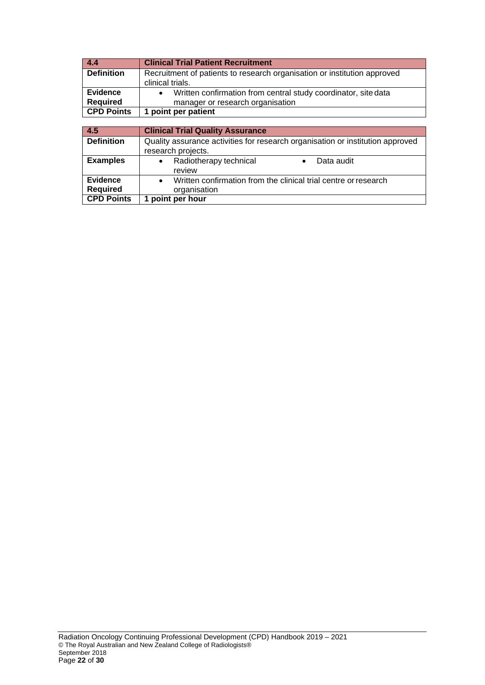| $\begin{array}{ccc} 4.4 \end{array}$ | <b>Clinical Trial Patient Recruitment</b>                                |  |
|--------------------------------------|--------------------------------------------------------------------------|--|
| <b>Definition</b>                    | Recruitment of patients to research organisation or institution approved |  |
|                                      | clinical trials.                                                         |  |
| <b>Evidence</b>                      | Written confirmation from central study coordinator, site data           |  |
| <b>Required</b>                      | manager or research organisation                                         |  |
| <b>CPD Points</b>                    | 1 point per patient                                                      |  |
|                                      |                                                                          |  |
| .                                    |                                                                          |  |

| 4.5                                | <b>Clinical Trial Quality Assurance</b>                                                              |  |
|------------------------------------|------------------------------------------------------------------------------------------------------|--|
| <b>Definition</b>                  | Quality assurance activities for research organisation or institution approved<br>research projects. |  |
| <b>Examples</b>                    | Radiotherapy technical<br>Data audit<br>$\bullet$<br>review                                          |  |
| <b>Evidence</b><br><b>Required</b> | Written confirmation from the clinical trial centre or research<br>organisation                      |  |
| <b>CPD Points</b>                  | point per hour                                                                                       |  |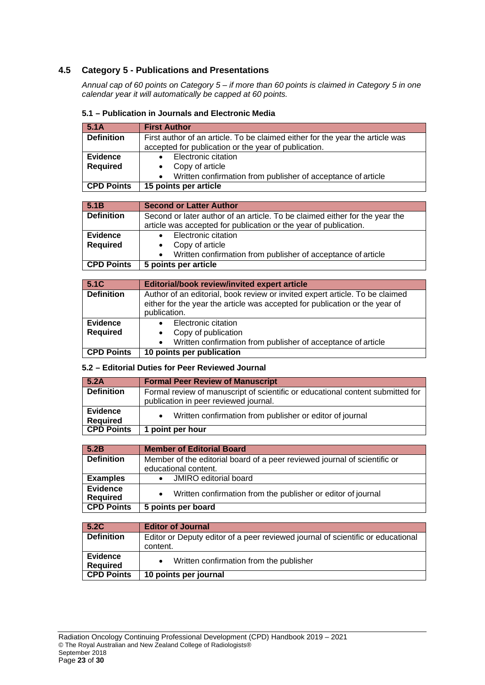## **4.5 Category 5 - Publications and Presentations**

*Annual cap of 60 points on Category 5 – if more than 60 points is claimed in Category 5 in one calendar year it will automatically be capped at 60 points.*

| 5.1A              | <b>First Author</b>                                                           |
|-------------------|-------------------------------------------------------------------------------|
| <b>Definition</b> | First author of an article. To be claimed either for the year the article was |
|                   | accepted for publication or the year of publication.                          |
| <b>Evidence</b>   | Electronic citation                                                           |
| <b>Required</b>   | Copy of article                                                               |
|                   | Written confirmation from publisher of acceptance of article                  |
| <b>CPD Points</b> | 15 points per article                                                         |

## **5.1 – Publication in Journals and Electronic Media**

| 5.1B              | <b>Second or Latter Author</b>                                              |
|-------------------|-----------------------------------------------------------------------------|
| <b>Definition</b> | Second or later author of an article. To be claimed either for the year the |
|                   | article was accepted for publication or the year of publication.            |
| <b>Evidence</b>   | Electronic citation                                                         |
| <b>Required</b>   | Copy of article                                                             |
|                   | Written confirmation from publisher of acceptance of article<br>$\bullet$   |
| <b>CPD Points</b> | 5 points per article                                                        |
|                   |                                                                             |

#### **5.1C Editorial/book review/invited expert article**<br>**Definition** Author of an editorial, book review or invited experiency Author of an editorial, book review or invited expert article. To be claimed either for the year the article was accepted for publication or the year of publication. **Evidence Required** • Electronic citation • Copy of publication • Written confirmation from publisher of acceptance of article **CPD Points 10 points per publication**

## **5.2 – Editorial Duties for Peer Reviewed Journal**

| 5.2A                               | <b>Formal Peer Review of Manuscript</b>                                        |  |
|------------------------------------|--------------------------------------------------------------------------------|--|
| <b>Definition</b>                  | Formal review of manuscript of scientific or educational content submitted for |  |
|                                    | publication in peer reviewed journal.                                          |  |
| <b>Evidence</b><br><b>Required</b> | Written confirmation from publisher or editor of journal                       |  |
| <b>CPD Points</b>                  | 1 point per hour                                                               |  |

| 5.2B                               | <b>Member of Editorial Board</b>                                          |
|------------------------------------|---------------------------------------------------------------------------|
| <b>Definition</b>                  | Member of the editorial board of a peer reviewed journal of scientific or |
|                                    | educational content.                                                      |
| <b>Examples</b>                    | <b>JMIRO</b> editorial board                                              |
| <b>Evidence</b><br><b>Required</b> | Written confirmation from the publisher or editor of journal<br>$\bullet$ |
| <b>CPD Points</b>                  | 5 points per board                                                        |

| 5.2C                               | <b>Editor of Journal</b>                                                        |  |
|------------------------------------|---------------------------------------------------------------------------------|--|
| <b>Definition</b>                  | Editor or Deputy editor of a peer reviewed journal of scientific or educational |  |
|                                    | content.                                                                        |  |
| <b>Evidence</b><br><b>Required</b> | Written confirmation from the publisher                                         |  |
| <b>CPD Points</b>                  | 10 points per journal                                                           |  |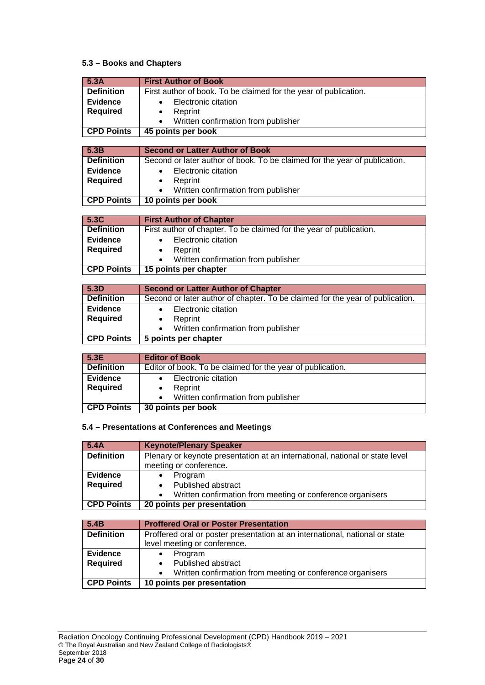## **5.3 – Books and Chapters**

| 5.3A              | <b>First Author of Book</b>                                                   |  |
|-------------------|-------------------------------------------------------------------------------|--|
| <b>Definition</b> | First author of book. To be claimed for the year of publication.              |  |
| <b>Evidence</b>   | Electronic citation                                                           |  |
| <b>Required</b>   | Reprint                                                                       |  |
|                   | Written confirmation from publisher                                           |  |
| <b>CPD Points</b> | 45 points per book                                                            |  |
|                   |                                                                               |  |
| 5.3B              | <b>Second or Latter Author of Book</b>                                        |  |
| <b>Definition</b> | Second or later author of book. To be claimed for the year of publication.    |  |
| Evidence          | Electronic citation<br>$\bullet$                                              |  |
| <b>Required</b>   | Reprint                                                                       |  |
|                   | Written confirmation from publisher                                           |  |
| <b>CPD Points</b> | 10 points per book                                                            |  |
|                   |                                                                               |  |
| 5.3C              | <b>First Author of Chapter</b>                                                |  |
| <b>Definition</b> | First author of chapter. To be claimed for the year of publication.           |  |
| Evidence          | Electronic citation                                                           |  |
| <b>Required</b>   | Reprint                                                                       |  |
|                   | Written confirmation from publisher                                           |  |
| <b>CPD Points</b> | 15 points per chapter                                                         |  |
|                   |                                                                               |  |
| 5.3D              | <b>Second or Latter Author of Chapter</b>                                     |  |
| <b>Definition</b> | Second or later author of chapter. To be claimed for the year of publication. |  |
| Evidence          | Electronic citation                                                           |  |
| <b>Required</b>   | Reprint<br>٠                                                                  |  |

| <b>CPD Points</b><br>5 points per chapter | Required | Reprint<br>Written confirmation from publisher |  |
|-------------------------------------------|----------|------------------------------------------------|--|
|                                           |          |                                                |  |
|                                           |          |                                                |  |

| 5.3E              | <b>Editor of Book</b>                                      |
|-------------------|------------------------------------------------------------|
| <b>Definition</b> | Editor of book. To be claimed for the year of publication. |
| <b>Evidence</b>   | Electronic citation                                        |
| <b>Required</b>   | Reprint                                                    |
|                   | Written confirmation from publisher                        |
| <b>CPD Points</b> | 30 points per book                                         |

#### **5.4 – Presentations at Conferences and Meetings**

| 5.4A              | <b>Keynote/Plenary Speaker</b>                                               |  |
|-------------------|------------------------------------------------------------------------------|--|
| <b>Definition</b> | Plenary or keynote presentation at an international, national or state level |  |
|                   | meeting or conference.                                                       |  |
| <b>Evidence</b>   | Program                                                                      |  |
| <b>Required</b>   | Published abstract                                                           |  |
|                   | Written confirmation from meeting or conference organisers                   |  |
| CPD Points        | 20 points per presentation                                                   |  |

| 5.4B              | <b>Proffered Oral or Poster Presentation</b>                                 |
|-------------------|------------------------------------------------------------------------------|
| <b>Definition</b> | Proffered oral or poster presentation at an international, national or state |
|                   | level meeting or conference.                                                 |
| Evidence          | Program                                                                      |
| <b>Required</b>   | Published abstract                                                           |
|                   | Written confirmation from meeting or conference organisers<br>$\bullet$      |
| <b>CPD Points</b> | 10 points per presentation                                                   |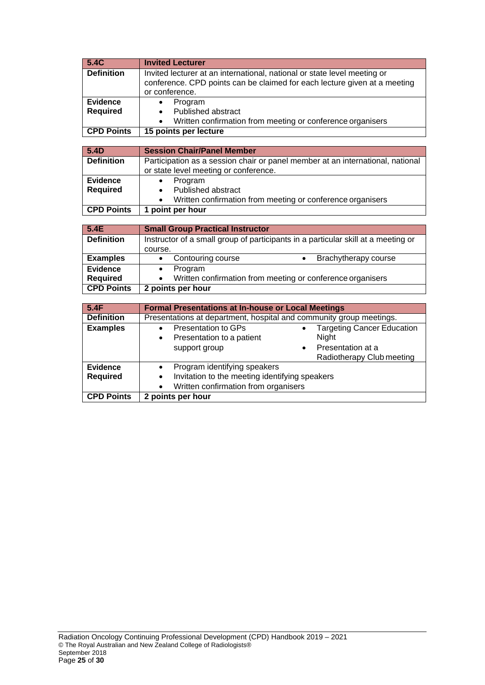| 5.4C              | <b>Invited Lecturer</b>                                                                      |  |
|-------------------|----------------------------------------------------------------------------------------------|--|
| <b>Definition</b> | Invited lecturer at an international, national or state level meeting or                     |  |
|                   | conference. CPD points can be claimed for each lecture given at a meeting                    |  |
|                   | or conference.                                                                               |  |
| <b>Evidence</b>   | Program<br>$\bullet$                                                                         |  |
| <b>Required</b>   | Published abstract                                                                           |  |
| <b>CPD Points</b> | Written confirmation from meeting or conference organisers<br>15 points per lecture          |  |
|                   |                                                                                              |  |
| 5.4D              | <b>Session Chair/Panel Member</b>                                                            |  |
| <b>Definition</b> | Participation as a session chair or panel member at an international, national               |  |
|                   | or state level meeting or conference.                                                        |  |
| <b>Evidence</b>   | Program                                                                                      |  |
| <b>Required</b>   | Published abstract                                                                           |  |
|                   | Written confirmation from meeting or conference organisers                                   |  |
| <b>CPD Points</b> | 1 point per hour                                                                             |  |
|                   |                                                                                              |  |
| 5.4E              | <b>Small Group Practical Instructor</b>                                                      |  |
| <b>Definition</b> | Instructor of a small group of participants in a particular skill at a meeting or<br>course. |  |
| <b>Examples</b>   | Contouring course<br>Brachytherapy course<br>$\bullet$<br>$\bullet$                          |  |
| <b>Evidence</b>   | Program<br>$\bullet$                                                                         |  |
| <b>Required</b>   | Written confirmation from meeting or conference organisers                                   |  |
| <b>CPD Points</b> | 2 points per hour                                                                            |  |
|                   |                                                                                              |  |
| 5.4F              | <b>Formal Presentations at In-house or Local Meetings</b>                                    |  |
| <b>Definition</b> | Presentations at department, hospital and community group meetings.                          |  |
| <b>Examples</b>   | <b>Presentation to GPs</b><br><b>Targeting Cancer Education</b><br>$\bullet$                 |  |
|                   | Presentation to a patient<br>Night<br>$\bullet$                                              |  |
|                   | Presentation at a<br>support group                                                           |  |
| <b>Evidence</b>   | Radiotherapy Club meeting                                                                    |  |
| <b>Required</b>   | Program identifying speakers<br>$\bullet$<br>Invitation to the meeting identifying speakers  |  |
|                   | Written confirmation from organisers                                                         |  |
| <b>CPD Points</b> | 2 points per hour                                                                            |  |
|                   |                                                                                              |  |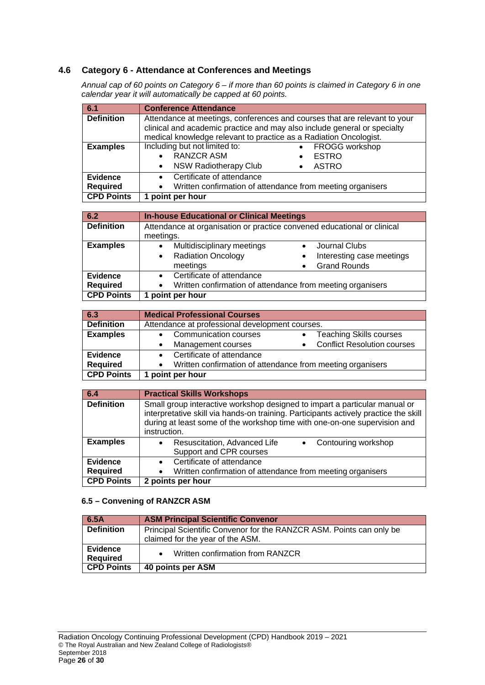## **4.6 Category 6 - Attendance at Conferences and Meetings**

*Annual cap of 60 points on Category 6 – if more than 60 points is claimed in Category 6 in one calendar year it will automatically be capped at 60 points.*

| 6.1                                | <b>Conference Attendance</b>                                                                                                                  |                                                                           |
|------------------------------------|-----------------------------------------------------------------------------------------------------------------------------------------------|---------------------------------------------------------------------------|
| <b>Definition</b>                  | clinical and academic practice and may also include general or specialty<br>medical knowledge relevant to practice as a Radiation Oncologist. | Attendance at meetings, conferences and courses that are relevant to your |
| <b>Examples</b>                    | Including but not limited to:<br><b>RANZCR ASM</b><br><b>NSW Radiotherapy Club</b><br>$\bullet$                                               | FROGG workshop<br>$\bullet$<br><b>ESTRO</b><br><b>ASTRO</b>               |
| <b>Evidence</b><br><b>Required</b> | Certificate of attendance<br>$\bullet$<br>Written confirmation of attendance from meeting organisers                                          |                                                                           |
| <b>CPD Points</b>                  | 1 point per hour                                                                                                                              |                                                                           |

| 6.2               | <b>In-house Educational or Clinical Meetings</b>                        |                           |
|-------------------|-------------------------------------------------------------------------|---------------------------|
| <b>Definition</b> | Attendance at organisation or practice convened educational or clinical |                           |
|                   | meetings.                                                               |                           |
| <b>Examples</b>   | Multidisciplinary meetings<br>$\bullet$                                 | Journal Clubs             |
|                   | <b>Radiation Oncology</b><br>$\bullet$                                  | Interesting case meetings |
|                   | meetings                                                                | <b>Grand Rounds</b>       |
| <b>Evidence</b>   | Certificate of attendance<br>$\bullet$                                  |                           |
| <b>Required</b>   | Written confirmation of attendance from meeting organisers              |                           |
| <b>CPD Points</b> | point per hour                                                          |                           |

| 6.3               | <b>Medical Professional Courses</b>                          |  |
|-------------------|--------------------------------------------------------------|--|
| <b>Definition</b> | Attendance at professional development courses.              |  |
| <b>Examples</b>   | Communication courses<br><b>Teaching Skills courses</b>      |  |
|                   | <b>Conflict Resolution courses</b><br>Management courses     |  |
| Evidence          | Certificate of attendance                                    |  |
| <b>Required</b>   | • Written confirmation of attendance from meeting organisers |  |
| <b>CPD Points</b> | 1 point per hour                                             |  |

| 6.4                                | <b>Practical Skills Workshops</b>                                                                                                                                                                                                                               |
|------------------------------------|-----------------------------------------------------------------------------------------------------------------------------------------------------------------------------------------------------------------------------------------------------------------|
| <b>Definition</b>                  | Small group interactive workshop designed to impart a particular manual or<br>interpretative skill via hands-on training. Participants actively practice the skill<br>during at least some of the workshop time with one-on-one supervision and<br>instruction. |
| <b>Examples</b>                    | Contouring workshop<br>Resuscitation, Advanced Life<br>Support and CPR courses                                                                                                                                                                                  |
| <b>Evidence</b><br><b>Required</b> | Certificate of attendance<br>Written confirmation of attendance from meeting organisers                                                                                                                                                                         |
| <b>CPD Points</b>                  | 2 points per hour                                                                                                                                                                                                                                               |

## **6.5 – Convening of RANZCR ASM**

| 6.5A                               | <b>ASM Principal Scientific Convenor</b>                             |
|------------------------------------|----------------------------------------------------------------------|
| <b>Definition</b>                  | Principal Scientific Convenor for the RANZCR ASM. Points can only be |
|                                    | claimed for the year of the ASM.                                     |
| <b>Evidence</b><br><b>Required</b> | Written confirmation from RANZCR                                     |
| <b>CPD Points</b>                  | 40 points per ASM                                                    |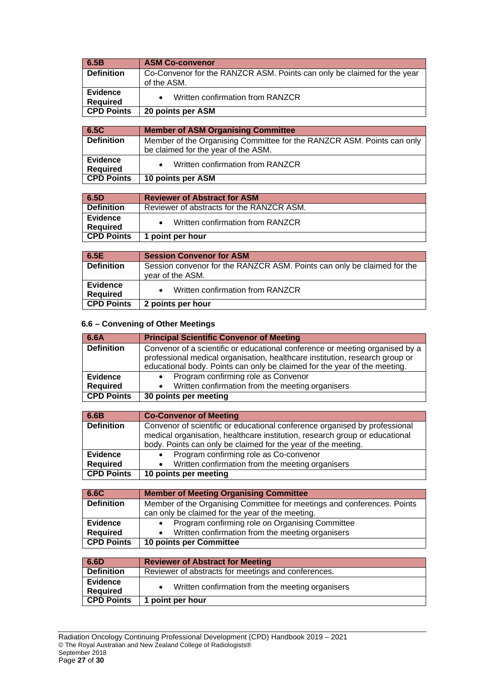| 6.5B              | <b>ASM Co-convenor</b>                                                  |
|-------------------|-------------------------------------------------------------------------|
| <b>Definition</b> | Co-Convenor for the RANZCR ASM. Points can only be claimed for the year |
|                   | of the ASM.                                                             |
| <b>Evidence</b>   | Written confirmation from RANZCR                                        |
| <b>Required</b>   |                                                                         |
| <b>CPD Points</b> | 20 points per ASM                                                       |
|                   |                                                                         |
| 6.5C              | <b>Member of ASM Organising Committee</b>                               |
| <b>Definition</b> | Member of the Organising Committee for the RANZCR ASM. Points can only  |
|                   | be claimed for the year of the ASM.                                     |
| <b>Evidence</b>   | Written confirmation from RANZCR                                        |
| <b>Required</b>   |                                                                         |
| <b>CPD Points</b> | 10 points per ASM                                                       |
|                   |                                                                         |
| 6.5D              | <b>Reviewer of Abstract for ASM</b>                                     |
| <b>Definition</b> | Reviewer of abstracts for the RANZCR ASM.                               |
| <b>Evidence</b>   | Written confirmation from RANZCR                                        |
| <b>Required</b>   |                                                                         |
| <b>CPD Points</b> | 1 point per hour                                                        |
|                   |                                                                         |
| 6.5E              | <b>Session Convenor for ASM</b>                                         |
| <b>Definition</b> | Session convenor for the RANZCR ASM. Points can only be claimed for the |
|                   | $\ldots$ $\ldots$ $\ldots$                                              |

|                      | vear of the ASM.                 |
|----------------------|----------------------------------|
| Evidence<br>Required | Written confirmation from RANZCR |
| CPD Points           | 2 points per hour                |

## **6.6 – Convening of Other Meetings**

| 6.6A              | <b>Principal Scientific Convenor of Meeting</b>                                                                                                                                                                                           |
|-------------------|-------------------------------------------------------------------------------------------------------------------------------------------------------------------------------------------------------------------------------------------|
| <b>Definition</b> | Convenor of a scientific or educational conference or meeting organised by a<br>professional medical organisation, healthcare institution, research group or<br>educational body. Points can only be claimed for the year of the meeting. |
| <b>Evidence</b>   | • Program confirming role as Convenor                                                                                                                                                                                                     |
| <b>Required</b>   | • Written confirmation from the meeting organisers                                                                                                                                                                                        |
| <b>CPD Points</b> | 30 points per meeting                                                                                                                                                                                                                     |

| 6.6B              | <b>Co-Convenor of Meeting</b>                                               |
|-------------------|-----------------------------------------------------------------------------|
| <b>Definition</b> | Convenor of scientific or educational conference organised by professional  |
|                   | medical organisation, healthcare institution, research group or educational |
|                   | body. Points can only be claimed for the year of the meeting.               |
| <b>Evidence</b>   | Program confirming role as Co-convenor                                      |
| <b>Required</b>   | • Written confirmation from the meeting organisers                          |
| <b>CPD Points</b> | 10 points per meeting                                                       |

| 6.6C              | <b>Member of Meeting Organising Committee</b>                           |
|-------------------|-------------------------------------------------------------------------|
| <b>Definition</b> | Member of the Organising Committee for meetings and conferences. Points |
|                   | can only be claimed for the year of the meeting.                        |
| <b>Evidence</b>   | Program confirming role on Organising Committee                         |
| <b>Required</b>   | Written confirmation from the meeting organisers                        |
| <b>CPD Points</b> | 10 points per Committee                                                 |

| 6.6D                               | <b>Reviewer of Abstract for Meeting</b>             |
|------------------------------------|-----------------------------------------------------|
| <b>Definition</b>                  | Reviewer of abstracts for meetings and conferences. |
| <b>Evidence</b><br><b>Required</b> | Written confirmation from the meeting organisers    |
| <b>CPD Points</b>                  | 1 point per hour                                    |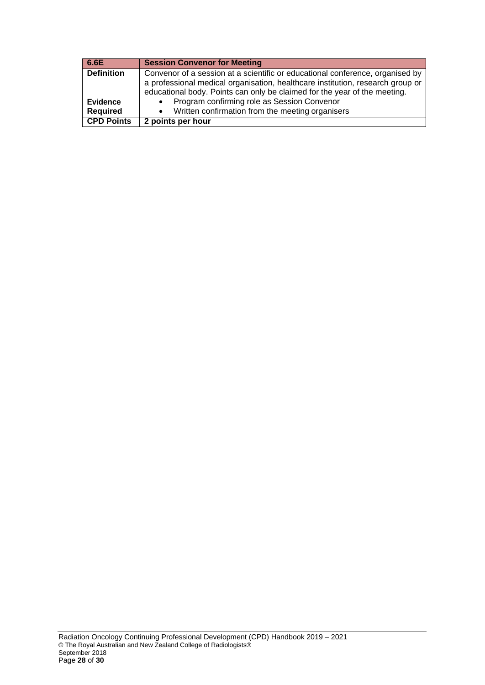| 6.6E              | <b>Session Convenor for Meeting</b>                                            |
|-------------------|--------------------------------------------------------------------------------|
| <b>Definition</b> | Convenor of a session at a scientific or educational conference, organised by  |
|                   | a professional medical organisation, healthcare institution, research group or |
|                   | educational body. Points can only be claimed for the year of the meeting.      |
| <b>Evidence</b>   | Program confirming role as Session Convenor                                    |
| <b>Required</b>   | • Written confirmation from the meeting organisers                             |
| <b>CPD Points</b> | 2 points per hour                                                              |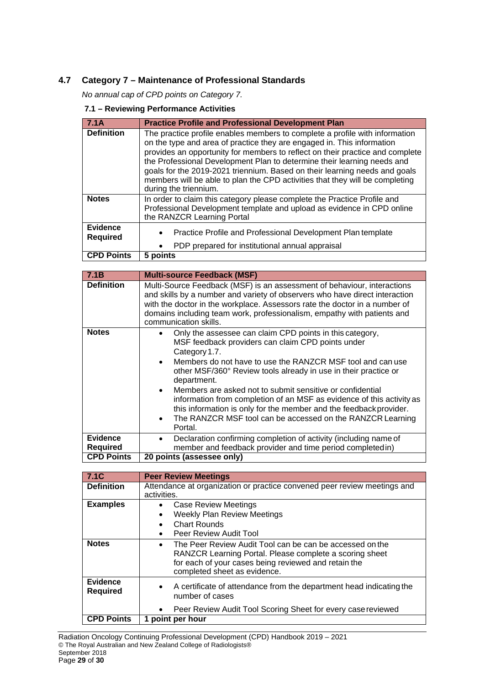## **4.7 Category 7 – Maintenance of Professional Standards**

*No annual cap of CPD points on Category 7.*

#### **7.1 – Reviewing Performance Activities**

| 7.1A                               | <b>Practice Profile and Professional Development Plan</b>                                                                                                                                                                                                                                                                                                                                                                                                                                                |
|------------------------------------|----------------------------------------------------------------------------------------------------------------------------------------------------------------------------------------------------------------------------------------------------------------------------------------------------------------------------------------------------------------------------------------------------------------------------------------------------------------------------------------------------------|
|                                    |                                                                                                                                                                                                                                                                                                                                                                                                                                                                                                          |
| <b>Definition</b>                  | The practice profile enables members to complete a profile with information<br>on the type and area of practice they are engaged in. This information<br>provides an opportunity for members to reflect on their practice and complete<br>the Professional Development Plan to determine their learning needs and<br>goals for the 2019-2021 triennium. Based on their learning needs and goals<br>members will be able to plan the CPD activities that they will be completing<br>during the triennium. |
| <b>Notes</b>                       | In order to claim this category please complete the Practice Profile and<br>Professional Development template and upload as evidence in CPD online<br>the RANZCR Learning Portal                                                                                                                                                                                                                                                                                                                         |
| <b>Evidence</b><br><b>Required</b> | Practice Profile and Professional Development Plan template<br>PDP prepared for institutional annual appraisal                                                                                                                                                                                                                                                                                                                                                                                           |
| <b>CPD Points</b>                  | $5$ points                                                                                                                                                                                                                                                                                                                                                                                                                                                                                               |

| 7.1B              | <b>Multi-source Feedback (MSF)</b>                                                                                                                                                                                                                                                                                                                                                                                                                                                                                                                                  |
|-------------------|---------------------------------------------------------------------------------------------------------------------------------------------------------------------------------------------------------------------------------------------------------------------------------------------------------------------------------------------------------------------------------------------------------------------------------------------------------------------------------------------------------------------------------------------------------------------|
| <b>Definition</b> | Multi-Source Feedback (MSF) is an assessment of behaviour, interactions<br>and skills by a number and variety of observers who have direct interaction<br>with the doctor in the workplace. Assessors rate the doctor in a number of<br>domains including team work, professionalism, empathy with patients and<br>communication skills.                                                                                                                                                                                                                            |
| <b>Notes</b>      | Only the assessee can claim CPD points in this category,<br>MSF feedback providers can claim CPD points under<br>Category 1.7.<br>Members do not have to use the RANZCR MSF tool and can use<br>other MSF/360° Review tools already in use in their practice or<br>department.<br>Members are asked not to submit sensitive or confidential<br>information from completion of an MSF as evidence of this activity as<br>this information is only for the member and the feedback provider.<br>The RANZCR MSF tool can be accessed on the RANZCR Learning<br>Portal. |
| <b>Evidence</b>   | Declaration confirming completion of activity (including name of                                                                                                                                                                                                                                                                                                                                                                                                                                                                                                    |
| <b>Required</b>   | member and feedback provider and time period completed in)                                                                                                                                                                                                                                                                                                                                                                                                                                                                                                          |
| <b>CPD Points</b> | 20 points (assessee only)                                                                                                                                                                                                                                                                                                                                                                                                                                                                                                                                           |

| 7.1C                               | <b>Peer Review Meetings</b>                                                                                                                                                                                              |
|------------------------------------|--------------------------------------------------------------------------------------------------------------------------------------------------------------------------------------------------------------------------|
| <b>Definition</b>                  | Attendance at organization or practice convened peer review meetings and                                                                                                                                                 |
|                                    | activities.                                                                                                                                                                                                              |
| <b>Examples</b>                    | <b>Case Review Meetings</b><br>$\bullet$                                                                                                                                                                                 |
|                                    | <b>Weekly Plan Review Meetings</b><br>٠                                                                                                                                                                                  |
|                                    | <b>Chart Rounds</b>                                                                                                                                                                                                      |
|                                    | Peer Review Audit Tool                                                                                                                                                                                                   |
| <b>Notes</b>                       | The Peer Review Audit Tool can be can be accessed on the<br>$\bullet$<br>RANZCR Learning Portal. Please complete a scoring sheet<br>for each of your cases being reviewed and retain the<br>completed sheet as evidence. |
| <b>Evidence</b><br><b>Required</b> | A certificate of attendance from the department head indicating the<br>number of cases                                                                                                                                   |
|                                    | Peer Review Audit Tool Scoring Sheet for every case reviewed                                                                                                                                                             |
| <b>CPD Points</b>                  | 1 point per hour                                                                                                                                                                                                         |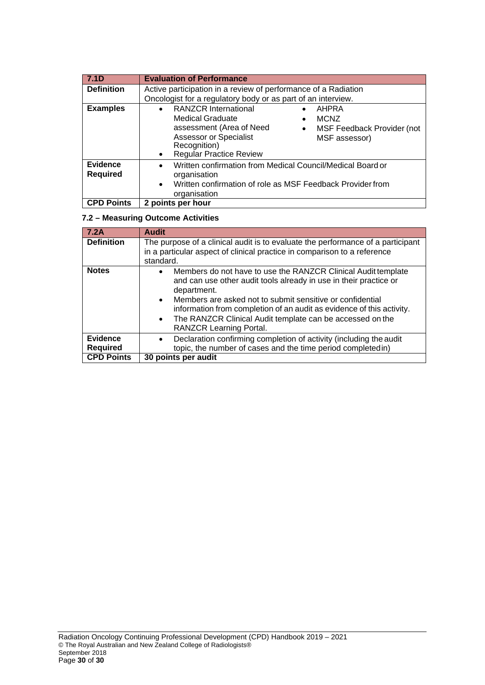| 7.1D                               | <b>Evaluation of Performance</b>                                                                                                                                                                                                                                                    |
|------------------------------------|-------------------------------------------------------------------------------------------------------------------------------------------------------------------------------------------------------------------------------------------------------------------------------------|
| <b>Definition</b>                  | Active participation in a review of performance of a Radiation<br>Oncologist for a regulatory body or as part of an interview.                                                                                                                                                      |
| <b>Examples</b>                    | <b>RANZCR International</b><br>AHPRA<br>$\bullet$<br><b>Medical Graduate</b><br><b>MCNZ</b><br>assessment (Area of Need<br>MSF Feedback Provider (not<br>$\bullet$<br><b>Assessor or Specialist</b><br>MSF assessor)<br>Recognition)<br><b>Regular Practice Review</b><br>$\bullet$ |
| <b>Evidence</b><br><b>Required</b> | Written confirmation from Medical Council/Medical Board or<br>$\bullet$<br>organisation<br>Written confirmation of role as MSF Feedback Provider from<br>$\bullet$<br>organisation                                                                                                  |
| <b>CPD Points</b>                  | 2 points per hour                                                                                                                                                                                                                                                                   |

## **7.2 – Measuring Outcome Activities**

| 7.2A                               | <b>Audit</b>                                                                                                                                                                                                                                                                                                                                                                                     |
|------------------------------------|--------------------------------------------------------------------------------------------------------------------------------------------------------------------------------------------------------------------------------------------------------------------------------------------------------------------------------------------------------------------------------------------------|
| <b>Definition</b>                  | The purpose of a clinical audit is to evaluate the performance of a participant<br>in a particular aspect of clinical practice in comparison to a reference<br>standard.                                                                                                                                                                                                                         |
| <b>Notes</b>                       | Members do not have to use the RANZCR Clinical Audit template<br>$\bullet$<br>and can use other audit tools already in use in their practice or<br>department.<br>• Members are asked not to submit sensitive or confidential<br>information from completion of an audit as evidence of this activity.<br>• The RANZCR Clinical Audit template can be accessed on the<br>RANZCR Learning Portal. |
| <b>Evidence</b><br><b>Required</b> | Declaration confirming completion of activity (including the audit<br>$\bullet$<br>topic, the number of cases and the time period completedin)                                                                                                                                                                                                                                                   |
| <b>CPD Points</b>                  | 30 points per audit                                                                                                                                                                                                                                                                                                                                                                              |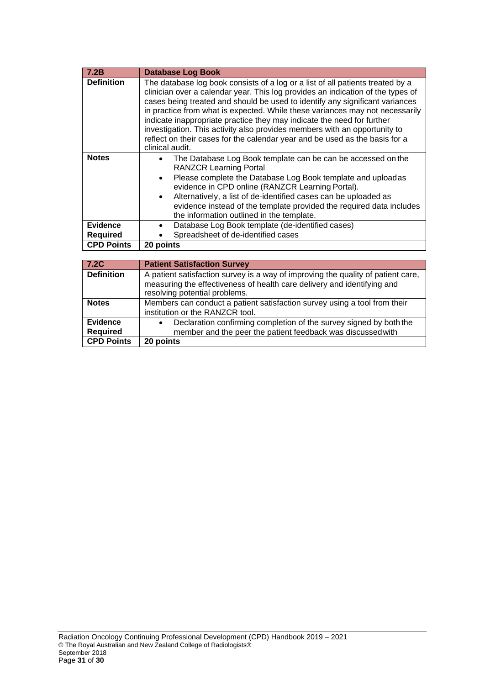| 7.2B              | <b>Database Log Book</b>                                                                                                                                                                                                                                                                                                                                                                                                                                                                                                                                                                   |
|-------------------|--------------------------------------------------------------------------------------------------------------------------------------------------------------------------------------------------------------------------------------------------------------------------------------------------------------------------------------------------------------------------------------------------------------------------------------------------------------------------------------------------------------------------------------------------------------------------------------------|
| <b>Definition</b> | The database log book consists of a log or a list of all patients treated by a<br>clinician over a calendar year. This log provides an indication of the types of<br>cases being treated and should be used to identify any significant variances<br>in practice from what is expected. While these variances may not necessarily<br>indicate inappropriate practice they may indicate the need for further<br>investigation. This activity also provides members with an opportunity to<br>reflect on their cases for the calendar year and be used as the basis for a<br>clinical audit. |
| <b>Notes</b>      | The Database Log Book template can be can be accessed on the<br><b>RANZCR Learning Portal</b><br>Please complete the Database Log Book template and uploadas<br>evidence in CPD online (RANZCR Learning Portal).<br>Alternatively, a list of de-identified cases can be uploaded as<br>evidence instead of the template provided the required data includes<br>the information outlined in the template.                                                                                                                                                                                   |
| <b>Evidence</b>   | Database Log Book template (de-identified cases)                                                                                                                                                                                                                                                                                                                                                                                                                                                                                                                                           |
| <b>Required</b>   | Spreadsheet of de-identified cases                                                                                                                                                                                                                                                                                                                                                                                                                                                                                                                                                         |
| <b>CPD Points</b> | 20 points                                                                                                                                                                                                                                                                                                                                                                                                                                                                                                                                                                                  |
|                   |                                                                                                                                                                                                                                                                                                                                                                                                                                                                                                                                                                                            |
| 7.2C              | <b>Patient Satisfaction Survey</b>                                                                                                                                                                                                                                                                                                                                                                                                                                                                                                                                                         |
| <b>Definition</b> | A patient satisfaction survey is a way of improving the quality of patient care,                                                                                                                                                                                                                                                                                                                                                                                                                                                                                                           |

| 7.ZU                               | <b>Fallelli Jalislauliuli Juliev</b>                                                                                                                                                         |
|------------------------------------|----------------------------------------------------------------------------------------------------------------------------------------------------------------------------------------------|
| <b>Definition</b>                  | A patient satisfaction survey is a way of improving the quality of patient care,<br>measuring the effectiveness of health care delivery and identifying and<br>resolving potential problems. |
| <b>Notes</b>                       | Members can conduct a patient satisfaction survey using a tool from their<br>institution or the RANZCR tool.                                                                                 |
| <b>Evidence</b><br><b>Required</b> | Declaration confirming completion of the survey signed by both the<br>member and the peer the patient feedback was discussed with                                                            |
| <b>CPD Points</b>                  | 20 points                                                                                                                                                                                    |